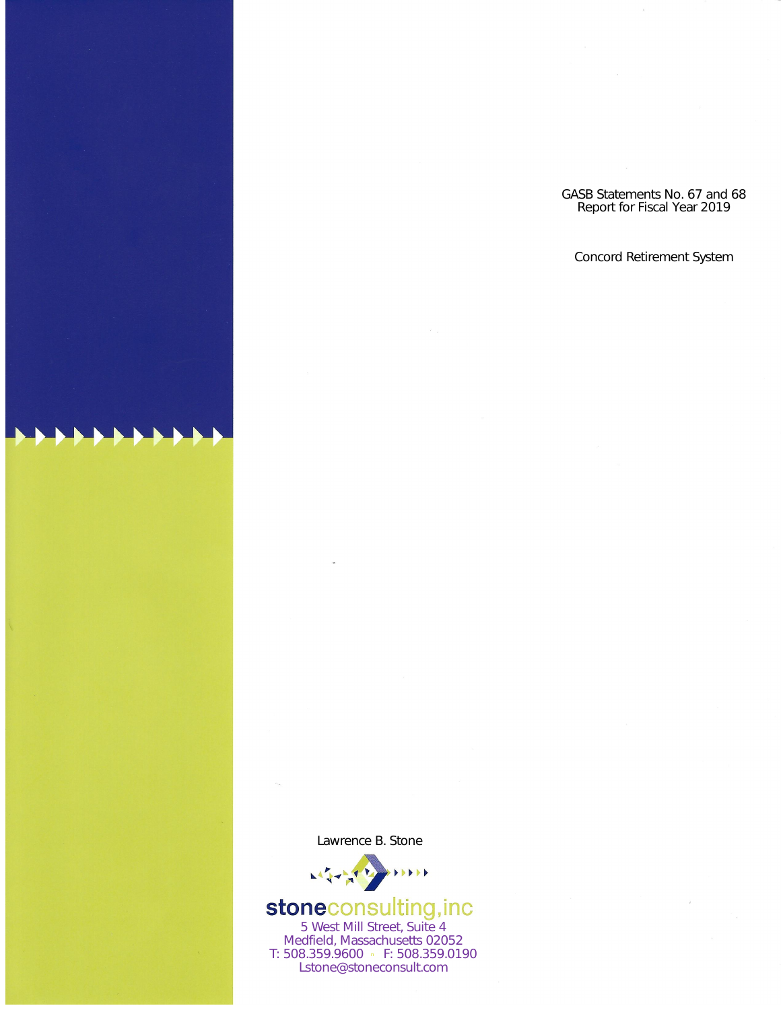GASB Statements No. 67 and 68 Report for Fiscal Year 2019

Concord Retirement System

Lawrence B. Stone



# **stoneconsulting, inc**<br>5 West Mill Street, Suite 4

Medfield, Massachusetts 02052 T: 508.359.9600 • F: 508.359.0190 Lstone@stoneconsult.com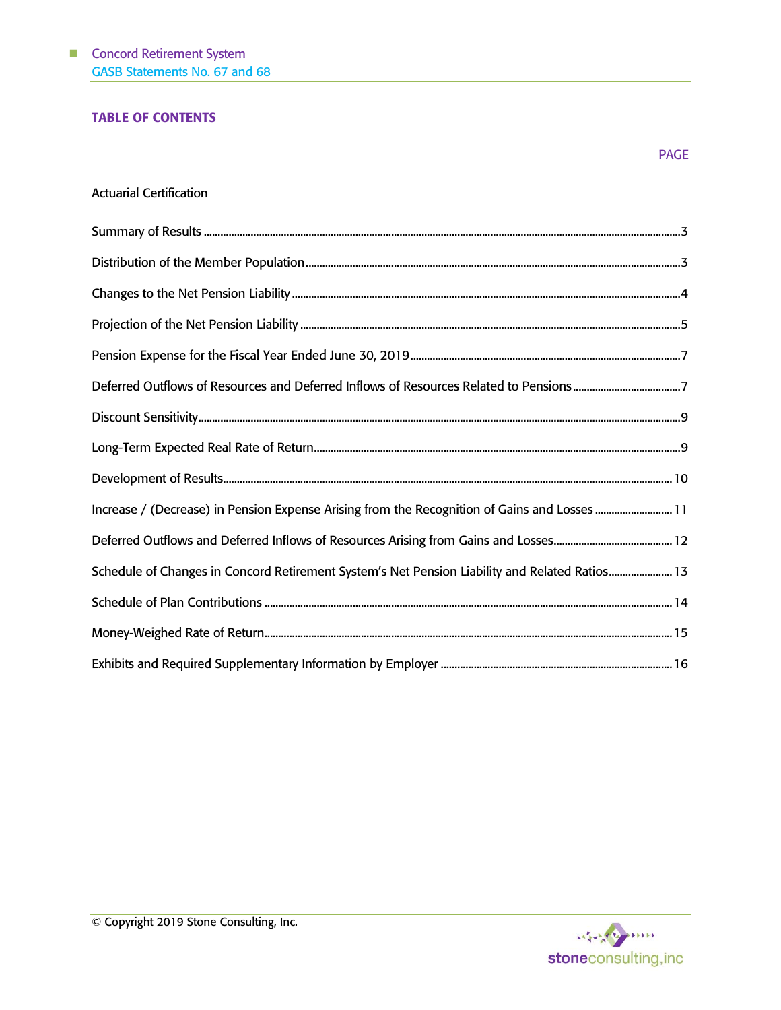# TABLE OF CONTENTS

# Actuarial Certification

| Deferred Outflows of Resources and Deferred Inflows of Resources Related to Pensions7          |
|------------------------------------------------------------------------------------------------|
|                                                                                                |
|                                                                                                |
|                                                                                                |
| Increase / (Decrease) in Pension Expense Arising from the Recognition of Gains and Losses  11  |
|                                                                                                |
| Schedule of Changes in Concord Retirement System's Net Pension Liability and Related Ratios 13 |
|                                                                                                |
|                                                                                                |
|                                                                                                |



PAGE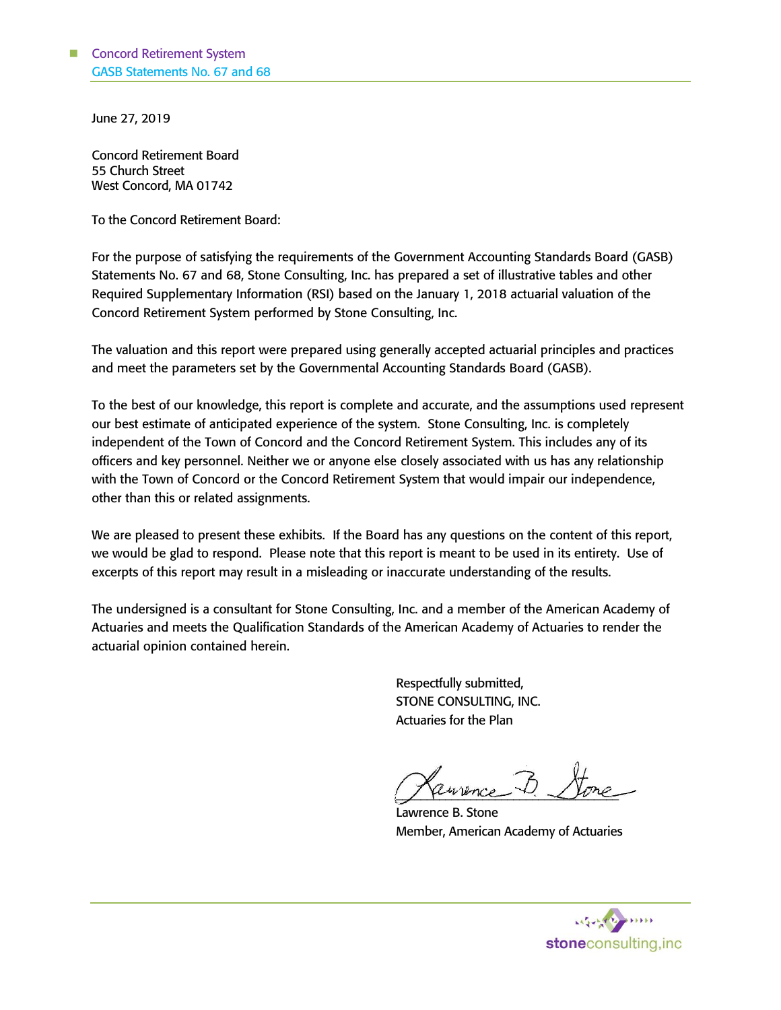June 27, 2019

Concord Retirement Board 55 Church Street West Concord, MA 01742

To the Concord Retirement Board:

For the purpose of satisfying the requirements of the Government Accounting Standards Board (GASB) Statements No. 67 and 68, Stone Consulting, Inc. has prepared a set of illustrative tables and other Required Supplementary Information (RSI) based on the January 1, 2018 actuarial valuation of the Concord Retirement System performed by Stone Consulting, Inc.

The valuation and this report were prepared using generally accepted actuarial principles and practices and meet the parameters set by the Governmental Accounting Standards Board (GASB).

To the best of our knowledge, this report is complete and accurate, and the assumptions used represent our best estimate of anticipated experience of the system. Stone Consulting, Inc. is completely independent of the Town of Concord and the Concord Retirement System. This includes any of its officers and key personnel. Neither we or anyone else closely associated with us has any relationship with the Town of Concord or the Concord Retirement System that would impair our independence, other than this or related assignments.

We are pleased to present these exhibits. If the Board has any questions on the content of this report, we would be glad to respond. Please note that this report is meant to be used in its entirety. Use of excerpts of this report may result in a misleading or inaccurate understanding of the results.

The undersigned is a consultant for Stone Consulting, Inc. and a member of the American Academy of Actuaries and meets the Qualification Standards of the American Academy of Actuaries to render the actuarial opinion contained herein.

> Respectfully submitted, STONE CONSULTING, INC. Actuaries for the Plan

J feurence " Lure

Lawrence B. Stone Member, American Academy of Actuaries

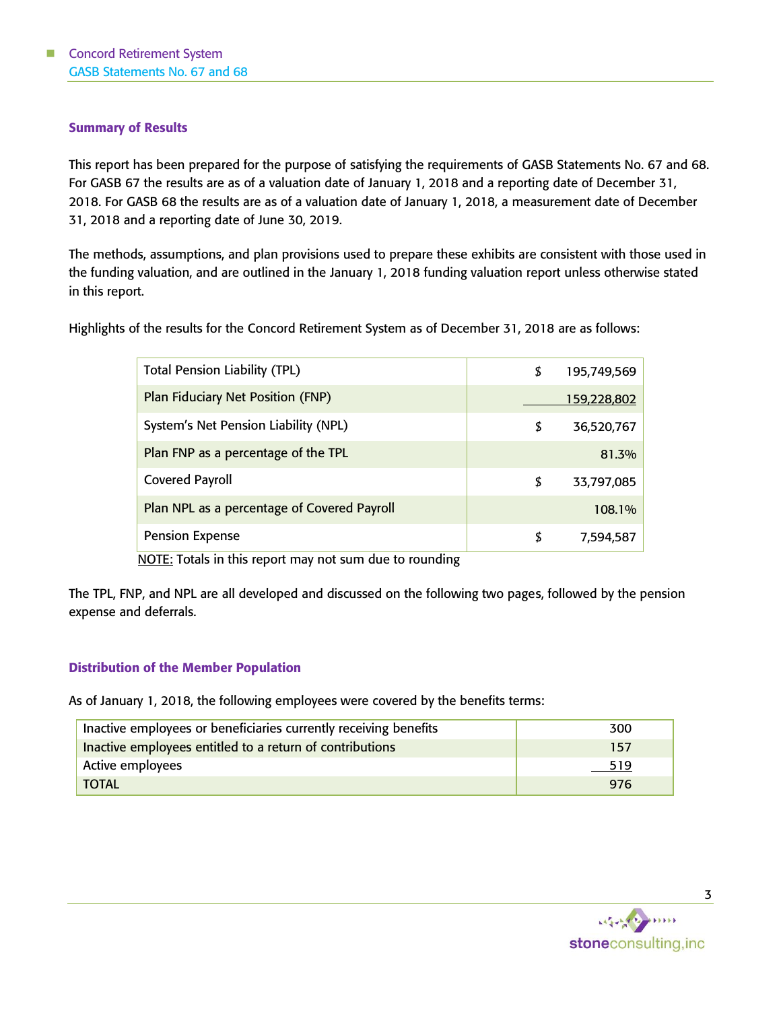# Summary of Results

This report has been prepared for the purpose of satisfying the requirements of GASB Statements No. 67 and 68. For GASB 67 the results are as of a valuation date of January 1, 2018 and a reporting date of December 31, 2018. For GASB 68 the results are as of a valuation date of January 1, 2018, a measurement date of December 31, 2018 and a reporting date of June 30, 2019.

The methods, assumptions, and plan provisions used to prepare these exhibits are consistent with those used in the funding valuation, and are outlined in the January 1, 2018 funding valuation report unless otherwise stated in this report.

Highlights of the results for the Concord Retirement System as of December 31, 2018 are as follows:

| <b>Total Pension Liability (TPL)</b>        | \$ | 195,749,569 |
|---------------------------------------------|----|-------------|
| <b>Plan Fiduciary Net Position (FNP)</b>    |    | 159,228,802 |
| System's Net Pension Liability (NPL)        | \$ | 36,520,767  |
| Plan FNP as a percentage of the TPL         |    | 81.3%       |
| <b>Covered Payroll</b>                      | \$ | 33,797,085  |
| Plan NPL as a percentage of Covered Payroll |    | 108.1%      |
| <b>Pension Expense</b>                      | S  | 7,594,587   |

NOTE: Totals in this report may not sum due to rounding

The TPL, FNP, and NPL are all developed and discussed on the following two pages, followed by the pension expense and deferrals.

## Distribution of the Member Population

As of January 1, 2018, the following employees were covered by the benefits terms:

| Inactive employees or beneficiaries currently receiving benefits | 300 |
|------------------------------------------------------------------|-----|
| Inactive employees entitled to a return of contributions         | 157 |
| Active employees                                                 | 519 |
| TOTAL                                                            | 976 |

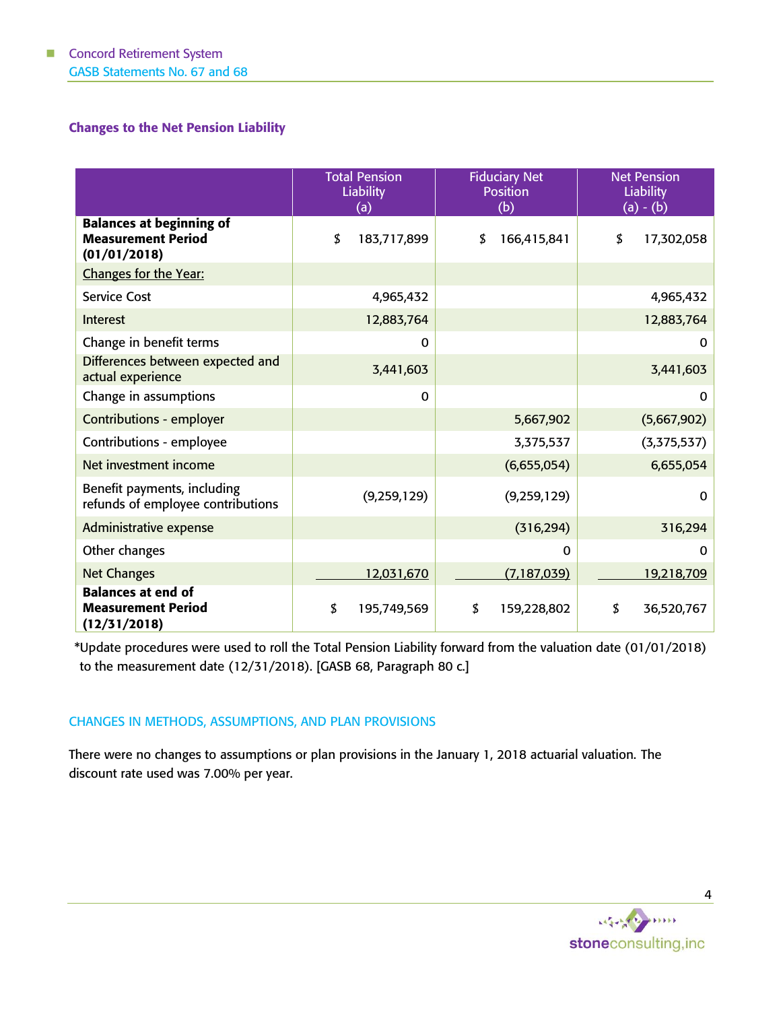# Changes to the Net Pension Liability

|                                                                              | <b>Total Pension</b><br><b>Liability</b><br>(a) | <b>Fiduciary Net</b><br><b>Position</b><br>(b) | <b>Net Pension</b><br><b>Liability</b><br>$(a) - (b)$ |
|------------------------------------------------------------------------------|-------------------------------------------------|------------------------------------------------|-------------------------------------------------------|
| <b>Balances at beginning of</b><br><b>Measurement Period</b><br>(01/01/2018) | \$<br>183,717,899                               | 166,415,841<br>\$                              | \$<br>17,302,058                                      |
| Changes for the Year:                                                        |                                                 |                                                |                                                       |
| <b>Service Cost</b>                                                          | 4,965,432                                       |                                                | 4,965,432                                             |
| Interest                                                                     | 12,883,764                                      |                                                | 12,883,764                                            |
| Change in benefit terms                                                      | 0                                               |                                                | 0                                                     |
| Differences between expected and<br>actual experience                        | 3,441,603                                       |                                                | 3,441,603                                             |
| Change in assumptions                                                        | $\Omega$                                        |                                                | $\Omega$                                              |
| <b>Contributions - employer</b>                                              |                                                 | 5,667,902                                      | (5,667,902)                                           |
| Contributions - employee                                                     |                                                 | 3,375,537                                      | (3,375,537)                                           |
| Net investment income                                                        |                                                 | (6,655,054)                                    | 6,655,054                                             |
| Benefit payments, including<br>refunds of employee contributions             | (9, 259, 129)                                   | (9, 259, 129)                                  | $\mathbf{0}$                                          |
| Administrative expense                                                       |                                                 | (316, 294)                                     | 316,294                                               |
| Other changes                                                                |                                                 | 0                                              | $\mathbf{0}$                                          |
| <b>Net Changes</b>                                                           | 12,031,670                                      | (7,187,039)                                    | 19,218,709                                            |
| <b>Balances at end of</b><br><b>Measurement Period</b><br>(12/31/2018)       | \$<br>195,749,569                               | \$<br>159,228,802                              | \$<br>36,520,767                                      |

\*Update procedures were used to roll the Total Pension Liability forward from the valuation date (01/01/2018) to the measurement date (12/31/2018). [GASB 68, Paragraph 80 c.]

# CHANGES IN METHODS, ASSUMPTIONS, AND PLAN PROVISIONS

There were no changes to assumptions or plan provisions in the January 1, 2018 actuarial valuation. The discount rate used was 7.00% per year.

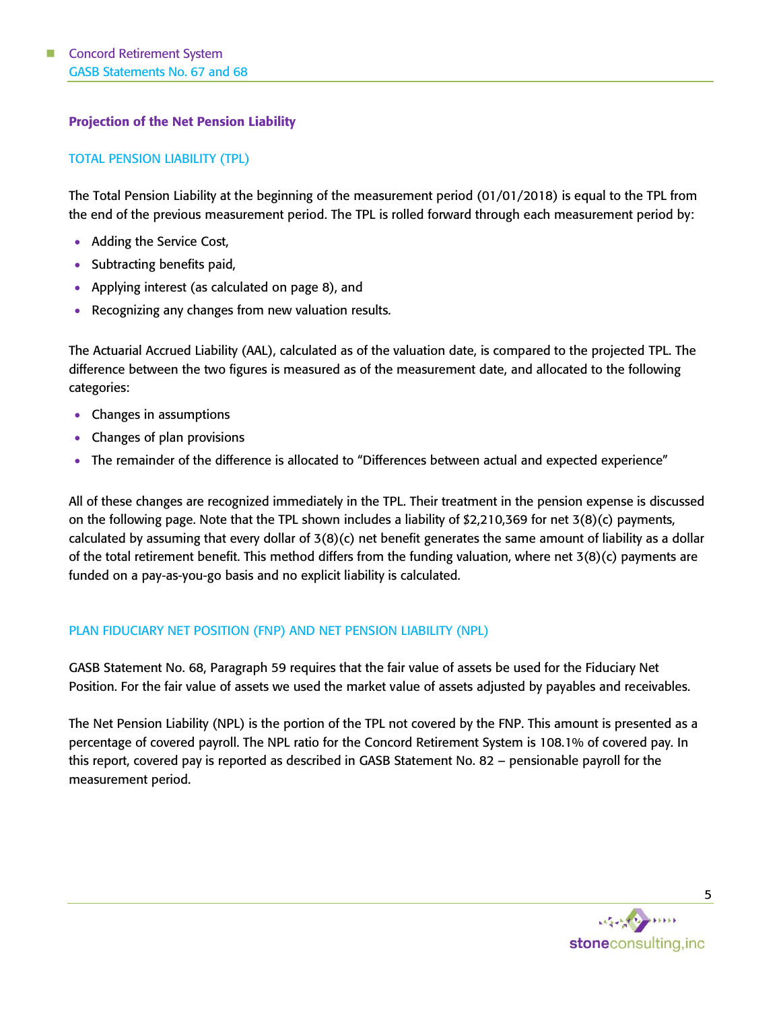# Projection of the Net Pension Liability

# TOTAL PENSION LIABILITY (TPL)

The Total Pension Liability at the beginning of the measurement period (01/01/2018) is equal to the TPL from the end of the previous measurement period. The TPL is rolled forward through each measurement period by:

- Adding the Service Cost,
- Subtracting benefits paid,
- Applying interest (as calculated on page 8), and
- Recognizing any changes from new valuation results.

The Actuarial Accrued Liability (AAL), calculated as of the valuation date, is compared to the projected TPL. The difference between the two figures is measured as of the measurement date, and allocated to the following categories:

- Changes in assumptions
- Changes of plan provisions
- The remainder of the difference is allocated to "Differences between actual and expected experience"

All of these changes are recognized immediately in the TPL. Their treatment in the pension expense is discussed on the following page. Note that the TPL shown includes a liability of \$2,210,369 for net 3(8)(c) payments, calculated by assuming that every dollar of 3(8)(c) net benefit generates the same amount of liability as a dollar of the total retirement benefit. This method differs from the funding valuation, where net 3(8)(c) payments are funded on a pay-as-you-go basis and no explicit liability is calculated.

## PLAN FIDUCIARY NET POSITION (FNP) AND NET PENSION LIABILITY (NPL)

GASB Statement No. 68, Paragraph 59 requires that the fair value of assets be used for the Fiduciary Net Position. For the fair value of assets we used the market value of assets adjusted by payables and receivables.

The Net Pension Liability (NPL) is the portion of the TPL not covered by the FNP. This amount is presented as a percentage of covered payroll. The NPL ratio for the Concord Retirement System is 108.1% of covered pay. In this report, covered pay is reported as described in GASB Statement No. 82 – pensionable payroll for the measurement period.

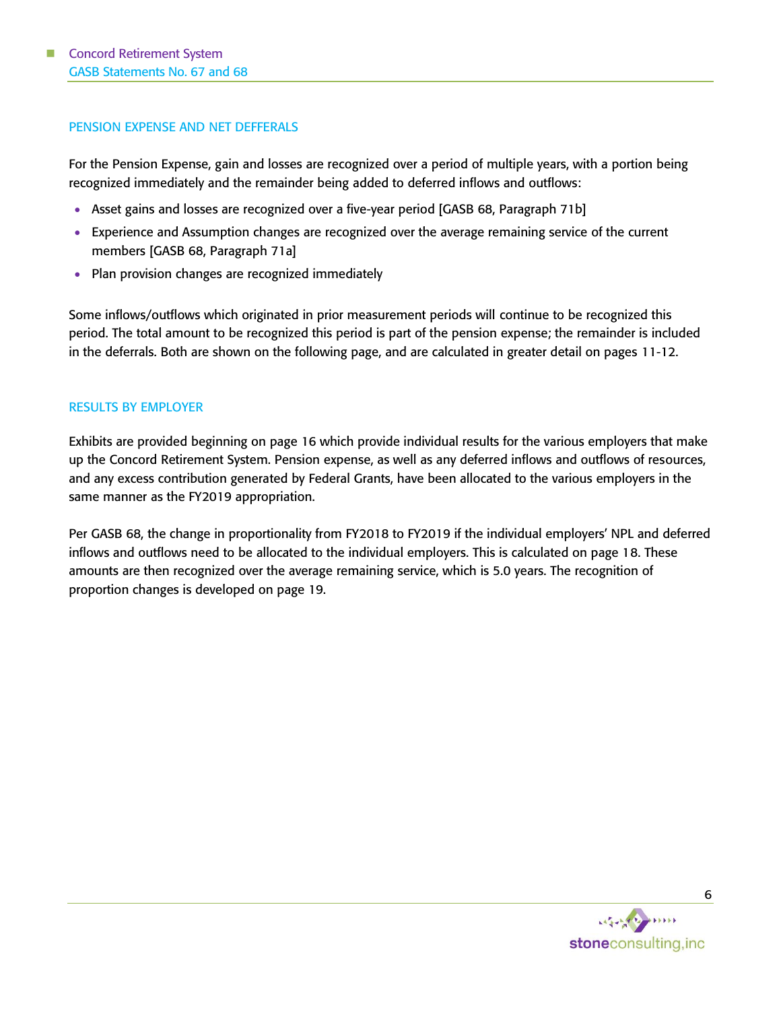## PENSION EXPENSE AND NET DEFFERALS

For the Pension Expense, gain and losses are recognized over a period of multiple years, with a portion being recognized immediately and the remainder being added to deferred inflows and outflows:

- Asset gains and losses are recognized over a five-year period [GASB 68, Paragraph 71b]
- Experience and Assumption changes are recognized over the average remaining service of the current members [GASB 68, Paragraph 71a]
- Plan provision changes are recognized immediately

Some inflows/outflows which originated in prior measurement periods will continue to be recognized this period. The total amount to be recognized this period is part of the pension expense; the remainder is included in the deferrals. Both are shown on the following page, and are calculated in greater detail on pages 11-12.

## RESULTS BY EMPLOYER

Exhibits are provided beginning on page 16 which provide individual results for the various employers that make up the Concord Retirement System. Pension expense, as well as any deferred inflows and outflows of resources, and any excess contribution generated by Federal Grants, have been allocated to the various employers in the same manner as the FY2019 appropriation.

Per GASB 68, the change in proportionality from FY2018 to FY2019 if the individual employers' NPL and deferred inflows and outflows need to be allocated to the individual employers. This is calculated on page 18. These amounts are then recognized over the average remaining service, which is 5.0 years. The recognition of proportion changes is developed on page 19.

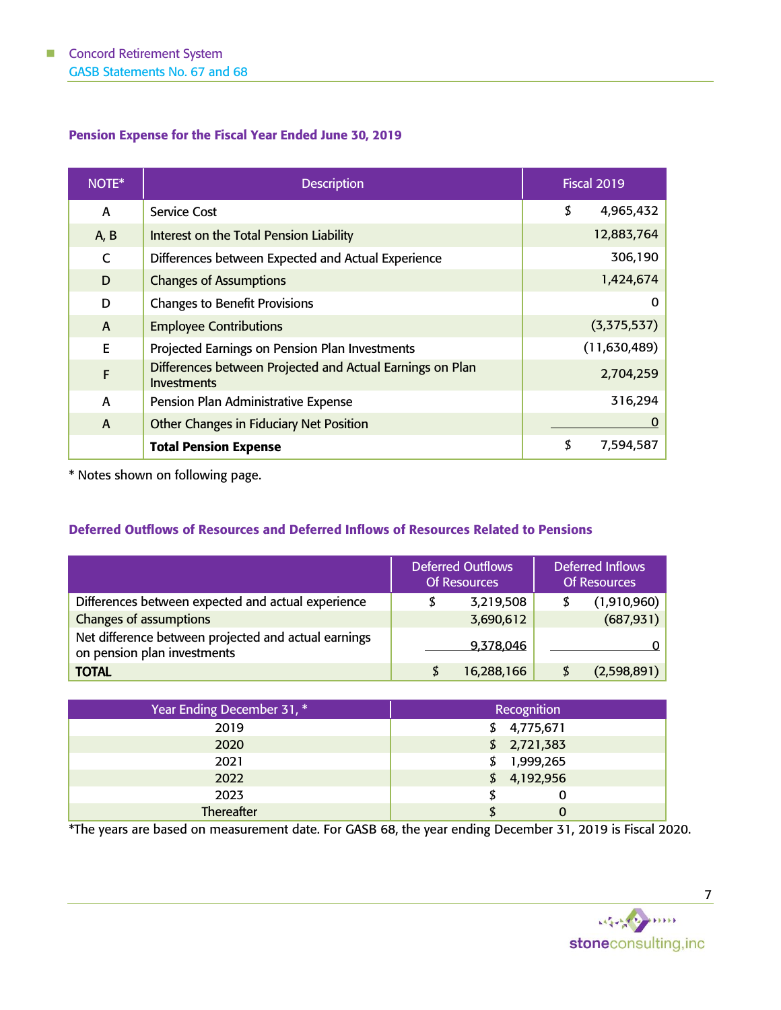# Pension Expense for the Fiscal Year Ended June 30, 2019

| NOTE*        | <b>Description</b>                                                       | <b>Fiscal 2019</b> |
|--------------|--------------------------------------------------------------------------|--------------------|
| A            | <b>Service Cost</b>                                                      | \$<br>4,965,432    |
| A, B         | Interest on the Total Pension Liability                                  | 12,883,764         |
| $\mathsf{C}$ | Differences between Expected and Actual Experience                       | 306,190            |
| D            | <b>Changes of Assumptions</b>                                            | 1,424,674          |
| D            | <b>Changes to Benefit Provisions</b>                                     | 0                  |
| $\mathsf{A}$ | <b>Employee Contributions</b>                                            | (3,375,537)        |
| E            | Projected Earnings on Pension Plan Investments                           | (11, 630, 489)     |
| $\mathsf{F}$ | Differences between Projected and Actual Earnings on Plan<br>Investments | 2,704,259          |
| A            | Pension Plan Administrative Expense                                      | 316,294            |
| $\mathsf{A}$ | Other Changes in Fiduciary Net Position                                  |                    |
|              | <b>Total Pension Expense</b>                                             | \$<br>7,594,587    |

\* Notes shown on following page.

# Deferred Outflows of Resources and Deferred Inflows of Resources Related to Pensions

|                                                                                     | <b>Deferred Outflows</b><br><b>Of Resources</b> | <b>Deferred Inflows</b><br><b>Of Resources</b> |
|-------------------------------------------------------------------------------------|-------------------------------------------------|------------------------------------------------|
| Differences between expected and actual experience                                  | \$<br>3,219,508                                 | (1,910,960)                                    |
| Changes of assumptions                                                              | 3,690,612                                       | (687, 931)                                     |
| Net difference between projected and actual earnings<br>on pension plan investments | 9,378,046                                       |                                                |
| <b>TOTAL</b>                                                                        | 16,288,166                                      | (2,598,891)                                    |

| Year Ending December 31, * | Recognition     |
|----------------------------|-----------------|
| 2019                       | 4,775,671<br>\$ |
| 2020                       | \$2,721,383     |
| 2021                       | 1,999,265<br>S  |
| 2022                       | \$4,192,956     |
| 2023                       |                 |
| Thereafter                 |                 |

\*The years are based on measurement date. For GASB 68, the year ending December 31, 2019 is Fiscal 2020.

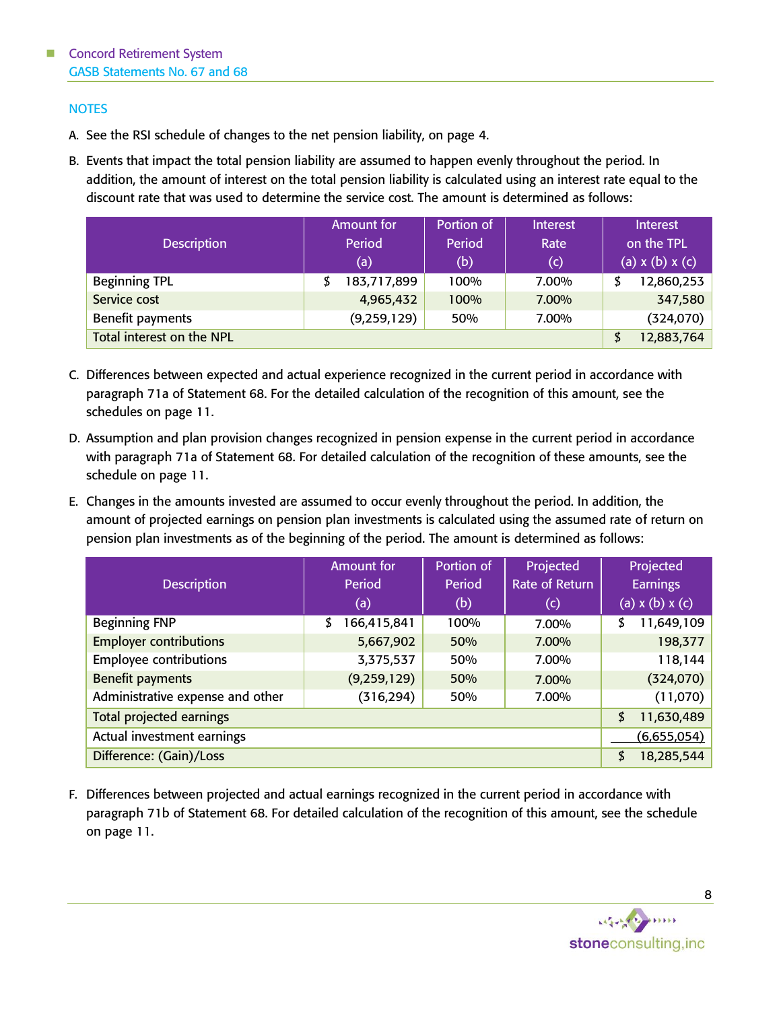# **NOTES**

- A. See the RSI schedule of changes to the net pension liability, on page 4.
- B. Events that impact the total pension liability are assumed to happen evenly throughout the period. In addition, the amount of interest on the total pension liability is calculated using an interest rate equal to the discount rate that was used to determine the service cost. The amount is determined as follows:

| <b>Description</b>        | <b>Amount for</b><br>Period<br>(a) | Portion of<br>Period<br>(b) | Interest<br>Rate<br>(c) | Interest<br>on the TPL<br>(a) $x(b)$ $x(c)$ |
|---------------------------|------------------------------------|-----------------------------|-------------------------|---------------------------------------------|
| <b>Beginning TPL</b>      | 183,717,899                        | 100%                        | 7.00%                   | 12,860,253<br>\$                            |
| Service cost              | 4,965,432                          | 100%                        | 7.00%                   | 347,580                                     |
| Benefit payments          | (9, 259, 129)                      | 50%                         | 7.00%                   | (324,070)                                   |
| Total interest on the NPL |                                    |                             |                         | 12,883,764<br>\$                            |

- C. Differences between expected and actual experience recognized in the current period in accordance with paragraph 71a of Statement 68. For the detailed calculation of the recognition of this amount, see the schedules on page 11.
- D. Assumption and plan provision changes recognized in pension expense in the current period in accordance with paragraph 71a of Statement 68. For detailed calculation of the recognition of these amounts, see the schedule on page 11.
- E. Changes in the amounts invested are assumed to occur evenly throughout the period. In addition, the amount of projected earnings on pension plan investments is calculated using the assumed rate of return on pension plan investments as of the beginning of the period. The amount is determined as follows:

|                                  | <b>Amount for</b> | Portion of | Projected      | Projected             |
|----------------------------------|-------------------|------------|----------------|-----------------------|
| <b>Description</b>               | Period            | Period     | Rate of Return | <b>Earnings</b>       |
|                                  | (a)               | (b)        | (c)            | $(a)$ x $(b)$ x $(c)$ |
| <b>Beginning FNP</b>             | 166,415,841<br>\$ | 100%       | 7.00%          | 11,649,109<br>\$      |
| <b>Employer contributions</b>    | 5,667,902         | 50%        | 7.00%          | 198,377               |
| <b>Employee contributions</b>    | 3,375,537         | 50%        | 7.00%          | 118,144               |
| <b>Benefit payments</b>          | (9, 259, 129)     | 50%        | 7.00%          | (324, 070)            |
| Administrative expense and other | (316, 294)        | 50%        | 7.00%          | (11,070)              |
| <b>Total projected earnings</b>  |                   |            |                | 11,630,489<br>\$      |
| Actual investment earnings       |                   |            |                | (6,655,054)           |
| Difference: (Gain)/Loss          |                   |            |                | 18,285,544<br>\$      |

F. Differences between projected and actual earnings recognized in the current period in accordance with paragraph 71b of Statement 68. For detailed calculation of the recognition of this amount, see the schedule on page 11.

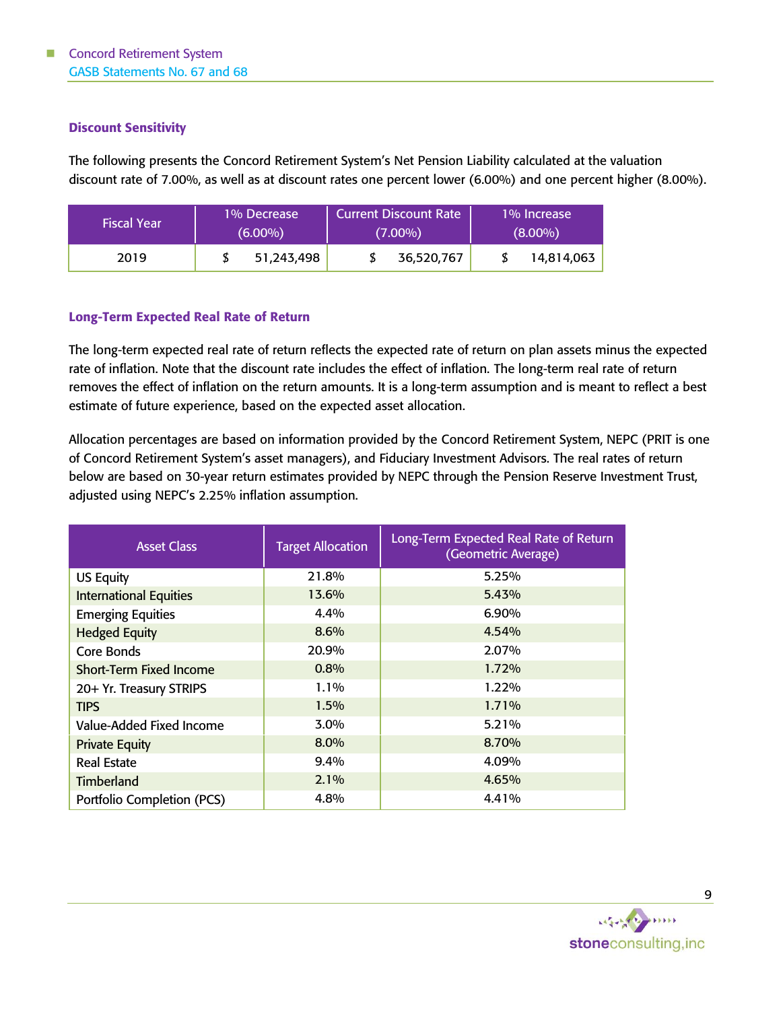# Discount Sensitivity

The following presents the Concord Retirement System's Net Pension Liability calculated at the valuation discount rate of 7.00%, as well as at discount rates one percent lower (6.00%) and one percent higher (8.00%).

| <b>Fiscal Year</b> | 1% Decrease<br>$(6.00\%)$ | <b>Current Discount Rate</b><br>$(7.00\%)$ | 1% Increase<br>$(8.00\%)$ |
|--------------------|---------------------------|--------------------------------------------|---------------------------|
| 2019               | 51,243,498                | 36,520,767                                 | 14,814,063                |

# Long-Term Expected Real Rate of Return

The long-term expected real rate of return reflects the expected rate of return on plan assets minus the expected rate of inflation. Note that the discount rate includes the effect of inflation. The long-term real rate of return removes the effect of inflation on the return amounts. It is a long-term assumption and is meant to reflect a best estimate of future experience, based on the expected asset allocation.

Allocation percentages are based on information provided by the Concord Retirement System, NEPC (PRIT is one of Concord Retirement System's asset managers), and Fiduciary Investment Advisors. The real rates of return below are based on 30-year return estimates provided by NEPC through the Pension Reserve Investment Trust, adjusted using NEPC's 2.25% inflation assumption.

| <b>Asset Class</b>             | <b>Target Allocation</b> | Long-Term Expected Real Rate of Return<br>(Geometric Average) |
|--------------------------------|--------------------------|---------------------------------------------------------------|
| <b>US Equity</b>               | 21.8%                    | 5.25%                                                         |
| <b>International Equities</b>  | 13.6%                    | 5.43%                                                         |
| <b>Emerging Equities</b>       | 4.4%                     | 6.90%                                                         |
| <b>Hedged Equity</b>           | 8.6%                     | 4.54%                                                         |
| Core Bonds                     | 20.9%                    | 2.07%                                                         |
| <b>Short-Term Fixed Income</b> | 0.8%                     | 1.72%                                                         |
| 20+ Yr. Treasury STRIPS        | $1.1\%$                  | 1.22%                                                         |
| <b>TIPS</b>                    | 1.5%                     | 1.71%                                                         |
| Value-Added Fixed Income       | 3.0%                     | 5.21%                                                         |
| <b>Private Equity</b>          | 8.0%                     | 8.70%                                                         |
| <b>Real Estate</b>             | 9.4%                     | 4.09%                                                         |
| Timberland                     | 2.1%                     | 4.65%                                                         |
| Portfolio Completion (PCS)     | 4.8%                     | 4.41%                                                         |

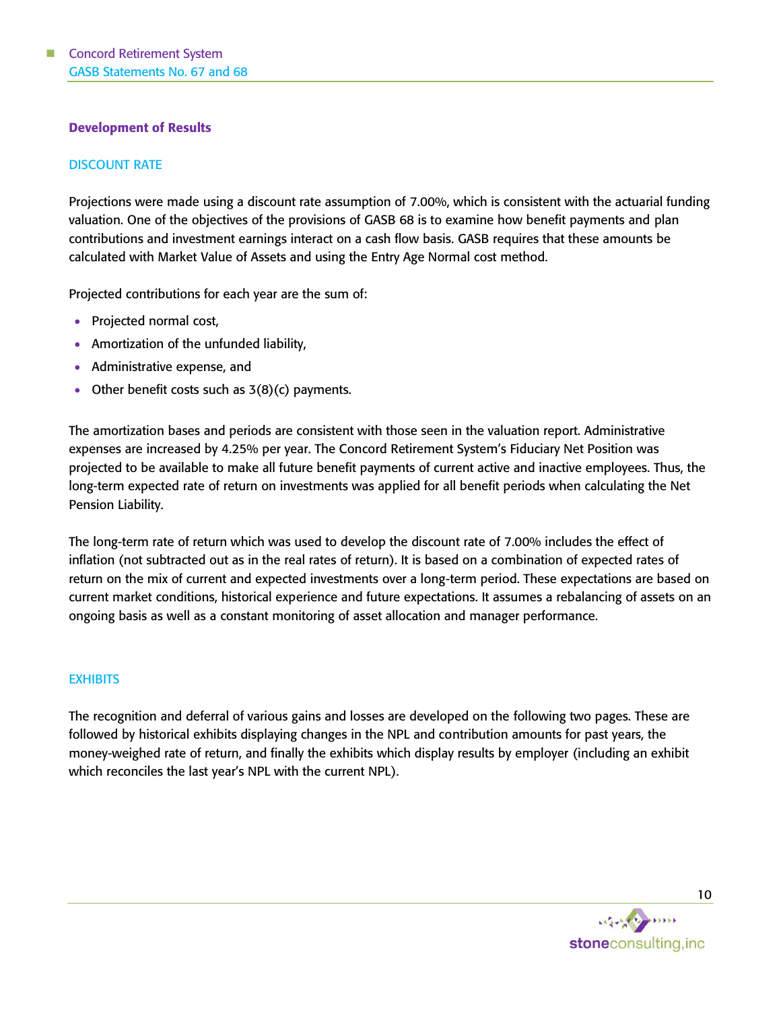# Development of Results

# DISCOUNT RATE

Projections were made using a discount rate assumption of 7.00%, which is consistent with the actuarial funding valuation. One of the objectives of the provisions of GASB 68 is to examine how benefit payments and plan contributions and investment earnings interact on a cash flow basis. GASB requires that these amounts be calculated with Market Value of Assets and using the Entry Age Normal cost method.

Projected contributions for each year are the sum of:

- Projected normal cost,
- Amortization of the unfunded liability,
- Administrative expense, and
- Other benefit costs such as  $3(8)(c)$  payments.

The amortization bases and periods are consistent with those seen in the valuation report. Administrative expenses are increased by 4.25% per year. The Concord Retirement System's Fiduciary Net Position was projected to be available to make all future benefit payments of current active and inactive employees. Thus, the long-term expected rate of return on investments was applied for all benefit periods when calculating the Net Pension Liability.

The long-term rate of return which was used to develop the discount rate of 7.00% includes the effect of inflation (not subtracted out as in the real rates of return). It is based on a combination of expected rates of return on the mix of current and expected investments over a long-term period. These expectations are based on current market conditions, historical experience and future expectations. It assumes a rebalancing of assets on an ongoing basis as well as a constant monitoring of asset allocation and manager performance.

## **EXHIBITS**

The recognition and deferral of various gains and losses are developed on the following two pages. These are followed by historical exhibits displaying changes in the NPL and contribution amounts for past years, the money-weighed rate of return, and finally the exhibits which display results by employer (including an exhibit which reconciles the last year's NPL with the current NPL).

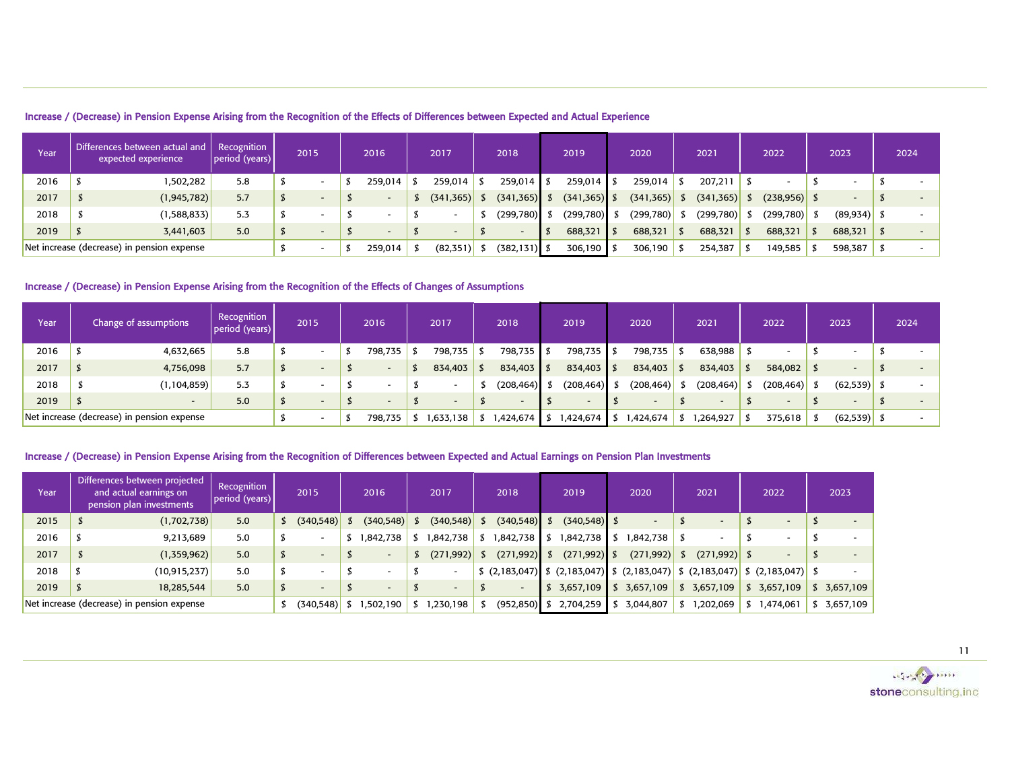| Increase / (Decrease) in Pension Expense Arising from the Recognition of the Effects of Differences between Expected and Actual Experience |
|--------------------------------------------------------------------------------------------------------------------------------------------|
|--------------------------------------------------------------------------------------------------------------------------------------------|

| Year | Differences between actual and<br>expected experience | Recognition<br> period (years) | 2015                     | 2016    | 2017       | 2018            | 2019            | 2020            | 2021       | 2022            | 2023           | 2024 |
|------|-------------------------------------------------------|--------------------------------|--------------------------|---------|------------|-----------------|-----------------|-----------------|------------|-----------------|----------------|------|
| 2016 | 502,282.                                              | 5.8                            |                          | 259.014 | 259,014    | $259,014$ \$    | $259,014$ \$    | 259,014         | 207,211    |                 |                |      |
| 2017 | (1, 945, 782)                                         | 5.7                            | $\overline{\phantom{0}}$ |         | (341, 365) | (341, 365)      | $(341, 365)$ \$ | $(341, 365)$ \$ | (341, 365) | $(238, 956)$ \$ |                |      |
| 2018 | (1,588,833)                                           | 5.3                            |                          |         |            | (299, 780)      | (299, 780)      | $(299,780)$ \$  | (299, 780) | (299, 780)      | $(89, 934)$ \$ |      |
| 2019 | 3,441,603                                             | 5.0                            | $\overline{\phantom{0}}$ |         |            |                 | 688,321         | 688,321         | 688,321    | 688,321         | $688,321$ \$   |      |
|      | Net increase (decrease) in pension expense            |                                |                          | 259,014 | (82, 351)  | $(382, 131)$ \$ | 306,190 \$      | 306,190         | 254,387    | 149,585         | 598,387        |      |

## Increase / (Decrease) in Pension Expense Arising from the Recognition of the Effects of Changes of Assumptions

| Year | Change of assumptions                      | Recognition<br>period (years) | 2015                     | 2016    | 2017      |     | 2018         | 2019                     | 2020         | 2021       | 2022                     | 2023           | 2024 |
|------|--------------------------------------------|-------------------------------|--------------------------|---------|-----------|-----|--------------|--------------------------|--------------|------------|--------------------------|----------------|------|
| 2016 | 4,632,665                                  | 5.8                           | $\overline{\phantom{a}}$ | 798,735 | 798,735   | - 7 | 798,735 \$   | 798,735 \$               | 798,735      | 638,988    | $\overline{\phantom{0}}$ |                |      |
| 2017 | 4,756,098                                  | 5.7                           | $\overline{\phantom{a}}$ |         | 834,403   |     | $834,403$ \$ | 834,403 \$               | $834,403$ \$ | 834,403    | 584,082                  |                |      |
| 2018 | (1, 104, 859)                              | 5.3                           | $\overline{\phantom{a}}$ |         |           |     | (208,464)    | $(208, 464)$ \$          | (208, 464)   | (208, 464) | $(208, 464)$ \$          | $(62, 539)$ \$ |      |
| 2019 | $\overline{\phantom{0}}$                   | 5.0                           | $\overline{\phantom{a}}$ |         |           |     |              | $\overline{\phantom{a}}$ |              |            | $\overline{\phantom{a}}$ |                |      |
|      | Net increase (decrease) in pension expense |                               | $\overline{\phantom{0}}$ | 798,735 | 1,633,138 |     | 424,674,     | 1,424,674                | 424,674,١    | 1,264,927  | 375,618                  | (62, 539)      |      |

## Increase / (Decrease) in Pension Expense Arising from the Recognition of Differences between Expected and Actual Earnings on Pension Plan Investments

| Year | Differences between projected<br>and actual earnings on<br>pension plan investments | Recognition<br>period (years) | 2015                     | 2016                     | 2017       | 2018            | 2019                                                                                                                                            | 2020         | 2021           | 2022      | 2023      |
|------|-------------------------------------------------------------------------------------|-------------------------------|--------------------------|--------------------------|------------|-----------------|-------------------------------------------------------------------------------------------------------------------------------------------------|--------------|----------------|-----------|-----------|
| 2015 | (1,702,738)                                                                         | 5.0                           | (340, 548)               | (340, 548)               | (340, 548) | $(340, 548)$ \$ | $(340, 548)$ \$                                                                                                                                 |              | -              |           |           |
| 2016 | 9,213,689                                                                           | 5.0                           | $\overline{\phantom{a}}$ | ,842,738                 | ,842,738   | ,842,738        | 842,738,                                                                                                                                        | 1,842,738 \$ |                |           |           |
| 2017 | (1,359,962)                                                                         | 5.0                           | $\overline{\phantom{a}}$ | $\overline{\phantom{a}}$ | (271, 992) | $(271,992)$ \$  | $(271,992)$ \$                                                                                                                                  | (271, 992)   | $(271,992)$ \$ |           |           |
| 2018 | (10, 915, 237)                                                                      | 5.0                           |                          |                          |            |                 | $\frac{1}{2}$ (2,183,047) $\frac{1}{2}$ (2,183,047) $\frac{1}{2}$ (2,183,047) $\frac{1}{2}$ (2,183,047) $\frac{1}{2}$ (2,183,047) $\frac{1}{2}$ |              |                |           |           |
| 2019 | 18,285,544                                                                          | 5.0                           | $\overline{\phantom{a}}$ | $\overline{\phantom{a}}$ |            |                 | 3,657,109                                                                                                                                       | 3,657,109    | \$3,657,109    | 3,657,109 | 3,657,109 |
|      | Net increase (decrease) in pension expense                                          |                               | (340, 548)               | 1,502,190                | ,230,198   | $(952, 850)$ \$ | 2,704,259                                                                                                                                       | 3,044,807    | ,202,069       | 1,474,061 | 3,657,109 |

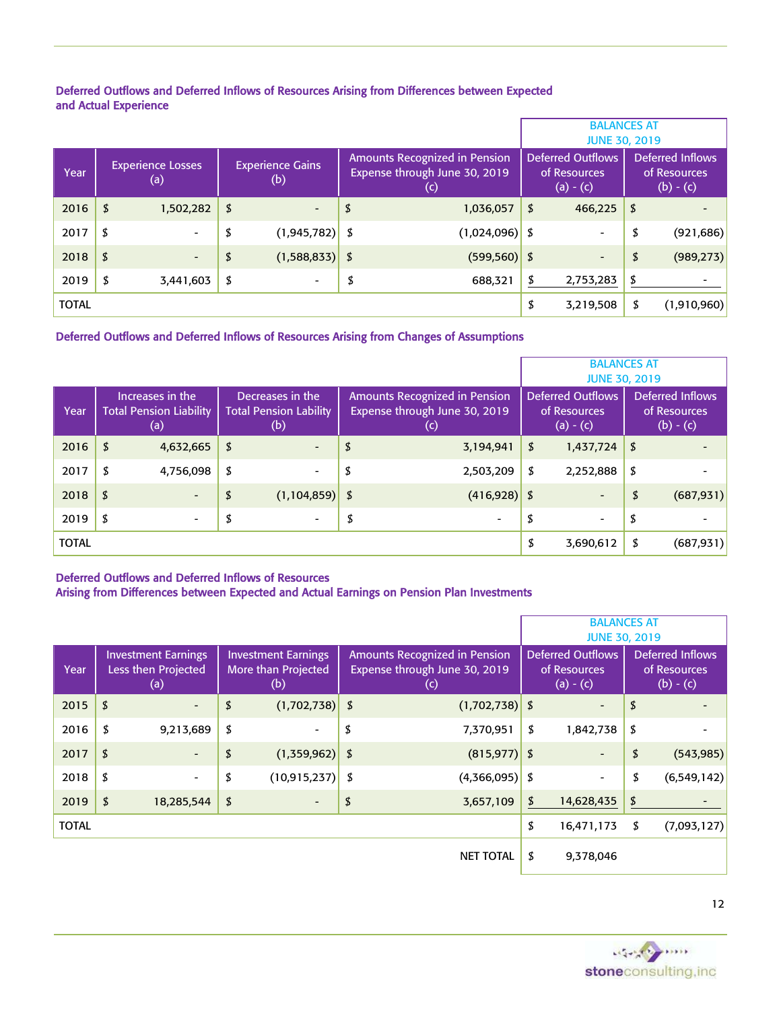## Deferred Outflows and Deferred Inflows of Resources Arising from Differences between Expected and Actual Experience

|              |                                 |                                |                                                                       | <b>BALANCES AT</b><br><b>JUNE 30, 2019</b>              |                                                        |
|--------------|---------------------------------|--------------------------------|-----------------------------------------------------------------------|---------------------------------------------------------|--------------------------------------------------------|
| Year         | <b>Experience Losses</b><br>(a) | <b>Experience Gains</b><br>(b) | Amounts Recognized in Pension<br>Expense through June 30, 2019<br>(c) | <b>Deferred Outflows</b><br>of Resources<br>$(a) - (c)$ | <b>Deferred Inflows</b><br>of Resources<br>$(b) - (c)$ |
| 2016         | \$<br>1,502,282                 | \$<br>$\overline{\phantom{a}}$ | \$<br>1,036,057                                                       | \$<br>466,225                                           | \$                                                     |
| 2017         | \$<br>$\overline{\phantom{0}}$  | \$<br>$(1,945,782)$ \$         | $(1,024,096)$ \$                                                      | $\overline{\phantom{0}}$                                | \$<br>(921, 686)                                       |
| 2018         | \$<br>-                         | \$<br>$(1,588,833)$ \$         | $(599, 560)$ \$                                                       | $\qquad \qquad -$                                       | \$<br>(989, 273)                                       |
| 2019         | \$<br>3,441,603                 | \$<br>$\overline{\phantom{0}}$ | \$<br>688,321                                                         | \$<br>2,753,283                                         | \$                                                     |
| <b>TOTAL</b> |                                 |                                |                                                                       | \$<br>3,219,508                                         | \$<br>(1,910,960)                                      |

# Deferred Outflows and Deferred Inflows of Resources Arising from Changes of Assumptions

|              |                                                           |                                                          |                                                                                              | <b>BALANCES AT</b><br><b>JUNE 30, 2019</b>              |                                                        |
|--------------|-----------------------------------------------------------|----------------------------------------------------------|----------------------------------------------------------------------------------------------|---------------------------------------------------------|--------------------------------------------------------|
| Year         | Increases in the<br><b>Total Pension Liability</b><br>(a) | Decreases in the<br><b>Total Pension Lability</b><br>(b) | <b>Amounts Recognized in Pension</b><br>Expense through June 30, 2019<br>$\left(  c \right)$ | <b>Deferred Outflows</b><br>of Resources<br>$(a) - (c)$ | <b>Deferred Inflows</b><br>of Resources<br>$(b) - (c)$ |
| 2016         | \$<br>4,632,665                                           | \$<br>$\overline{a}$                                     | \$<br>3,194,941                                                                              | \$<br>1,437,724                                         | \$                                                     |
| 2017         | \$<br>4,756,098                                           | \$<br>$\overline{\phantom{0}}$                           | \$<br>2,503,209                                                                              | \$<br>2,252,888                                         | \$                                                     |
| 2018         | \$<br>$\overline{\phantom{0}}$                            | \$<br>$(1,104,859)$ \$                                   | $(416,928)$ \$                                                                               | $\overline{\phantom{a}}$                                | \$<br>(687, 931)                                       |
| 2019         | \$<br>$\overline{\phantom{a}}$                            | \$<br>$\overline{\phantom{0}}$                           | \$<br>$\overline{\phantom{a}}$                                                               | \$<br>$\overline{\phantom{a}}$                          | \$                                                     |
| <b>TOTAL</b> |                                                           |                                                          |                                                                                              | \$<br>3,690,612                                         | \$<br>(687, 931)                                       |

## Deferred Outflows and Deferred Inflows of Resources

# Arising from Differences between Expected and Actual Earnings on Pension Plan Investments

|              |                                                          |                                                          |                                                                                       | <b>BALANCES AT</b><br><b>JUNE 30, 2019</b>              |                                                        |
|--------------|----------------------------------------------------------|----------------------------------------------------------|---------------------------------------------------------------------------------------|---------------------------------------------------------|--------------------------------------------------------|
| Year         | <b>Investment Earnings</b><br>Less then Projected<br>(a) | <b>Investment Earnings</b><br>More than Projected<br>(b) | Amounts Recognized in Pension<br>Expense through June 30, 2019<br>$\left(  c \right)$ | <b>Deferred Outflows</b><br>of Resources<br>$(a) - (c)$ | <b>Deferred Inflows</b><br>of Resources<br>$(b) - (c)$ |
| 2015         | \$<br>$\overline{\phantom{0}}$                           | \$<br>$(1,702,738)$ \$                                   | $(1,702,738)$ \$                                                                      |                                                         | \$                                                     |
| 2016         | \$<br>9,213,689                                          | \$<br>$\overline{\phantom{0}}$                           | \$<br>7,370,951                                                                       | \$<br>1,842,738                                         | \$                                                     |
| 2017         | \$<br>$\overline{\phantom{a}}$                           | \$<br>$(1,359,962)$ \$                                   | $(815, 977)$ \$                                                                       | $\overline{\phantom{a}}$                                | \$<br>(543, 985)                                       |
| 2018         | \$<br>$\overline{\phantom{0}}$                           | \$<br>$(10,915,237)$ \$                                  | $(4,366,095)$ \$                                                                      |                                                         | \$<br>(6, 549, 142)                                    |
| 2019         | \$<br>18,285,544                                         | \$                                                       | \$<br>3,657,109                                                                       | \$<br>14,628,435                                        | \$                                                     |
| <b>TOTAL</b> |                                                          |                                                          |                                                                                       | \$<br>16,471,173                                        | \$<br>(7,093,127)                                      |
|              |                                                          |                                                          | <b>NET TOTAL</b>                                                                      | \$<br>9,378,046                                         |                                                        |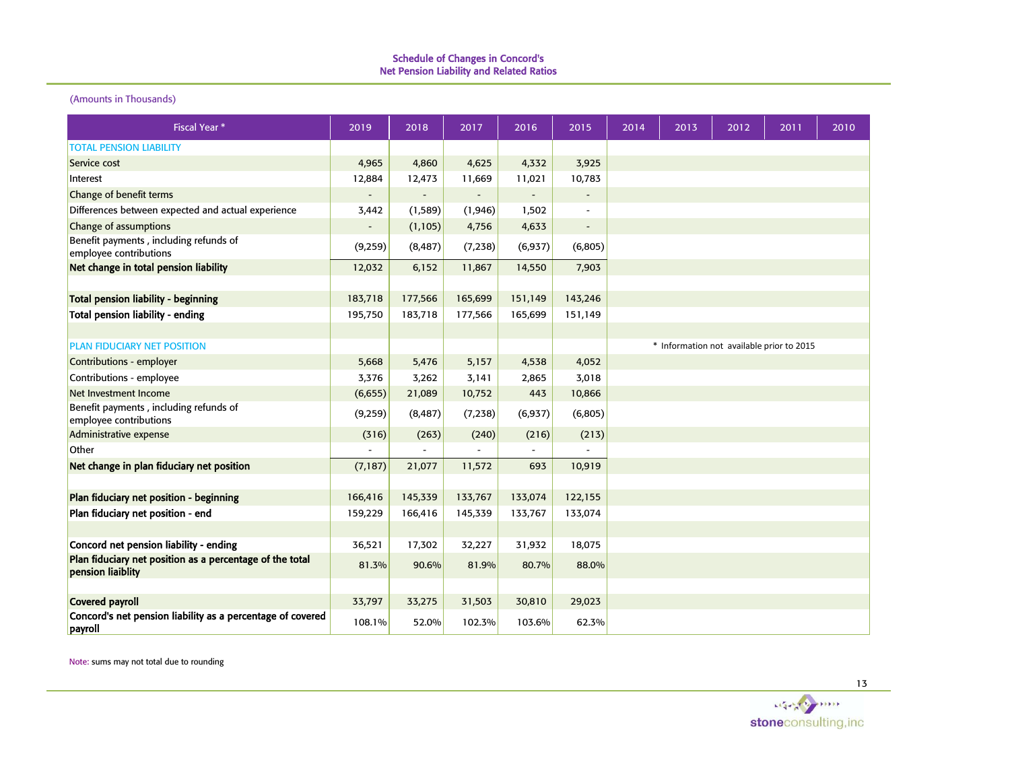#### (Amounts in Thousands)

| <b>Fiscal Year *</b>                                                          | 2019     | 2018     | 2017     | 2016     | 2015                         | 2014 | 2013 | 2012                                      | 2011 | 2010 |
|-------------------------------------------------------------------------------|----------|----------|----------|----------|------------------------------|------|------|-------------------------------------------|------|------|
| <b>TOTAL PENSION LIABILITY</b>                                                |          |          |          |          |                              |      |      |                                           |      |      |
| Service cost                                                                  | 4,965    | 4,860    | 4,625    | 4,332    | 3,925                        |      |      |                                           |      |      |
| Interest                                                                      | 12,884   | 12,473   | 11,669   | 11,021   | 10,783                       |      |      |                                           |      |      |
| Change of benefit terms                                                       |          |          |          |          | $\qquad \qquad \blacksquare$ |      |      |                                           |      |      |
| Differences between expected and actual experience                            | 3,442    | (1, 589) | (1, 946) | 1,502    |                              |      |      |                                           |      |      |
| Change of assumptions                                                         |          | (1, 105) | 4,756    | 4,633    | $\qquad \qquad -$            |      |      |                                           |      |      |
| Benefit payments, including refunds of<br>employee contributions              | (9,259)  | (8, 487) | (7, 238) | (6, 937) | (6, 805)                     |      |      |                                           |      |      |
| Net change in total pension liability                                         | 12,032   | 6,152    | 11,867   | 14,550   | 7,903                        |      |      |                                           |      |      |
|                                                                               |          |          |          |          |                              |      |      |                                           |      |      |
| <b>Total pension liability - beginning</b>                                    | 183,718  | 177,566  | 165,699  | 151,149  | 143,246                      |      |      |                                           |      |      |
| <b>Total pension liability - ending</b>                                       | 195,750  | 183,718  | 177,566  | 165,699  | 151,149                      |      |      |                                           |      |      |
|                                                                               |          |          |          |          |                              |      |      |                                           |      |      |
| <b>PLAN FIDUCIARY NET POSITION</b>                                            |          |          |          |          |                              |      |      | * Information not available prior to 2015 |      |      |
| Contributions - employer                                                      | 5,668    | 5,476    | 5,157    | 4,538    | 4,052                        |      |      |                                           |      |      |
| Contributions - employee                                                      | 3,376    | 3,262    | 3,141    | 2,865    | 3,018                        |      |      |                                           |      |      |
| Net Investment Income                                                         | (6,655)  | 21,089   | 10,752   | 443      | 10,866                       |      |      |                                           |      |      |
| Benefit payments, including refunds of<br>employee contributions              | (9,259)  | (8, 487) | (7,238)  | (6,937)  | (6,805)                      |      |      |                                           |      |      |
| Administrative expense                                                        | (316)    | (263)    | (240)    | (216)    | (213)                        |      |      |                                           |      |      |
| Other                                                                         |          |          |          |          |                              |      |      |                                           |      |      |
| Net change in plan fiduciary net position                                     | (7, 187) | 21,077   | 11,572   | 693      | 10,919                       |      |      |                                           |      |      |
|                                                                               |          |          |          |          |                              |      |      |                                           |      |      |
| Plan fiduciary net position - beginning                                       | 166,416  | 145,339  | 133,767  | 133,074  | 122,155                      |      |      |                                           |      |      |
| Plan fiduciary net position - end                                             | 159,229  | 166,416  | 145,339  | 133,767  | 133,074                      |      |      |                                           |      |      |
|                                                                               |          |          |          |          |                              |      |      |                                           |      |      |
| Concord net pension liability - ending                                        | 36,521   | 17,302   | 32,227   | 31,932   | 18,075                       |      |      |                                           |      |      |
| Plan fiduciary net position as a percentage of the total<br>pension liaiblity | 81.3%    | 90.6%    | 81.9%    | 80.7%    | 88.0%                        |      |      |                                           |      |      |
|                                                                               |          |          |          |          |                              |      |      |                                           |      |      |
| <b>Covered payroll</b>                                                        | 33,797   | 33,275   | 31,503   | 30,810   | 29,023                       |      |      |                                           |      |      |
| Concord's net pension liability as a percentage of covered<br>payroll         | 108.1%   | 52.0%    | 102.3%   | 103.6%   | 62.3%                        |      |      |                                           |      |      |

Note: sums may not total due to rounding

agent from stoneconsulting, inc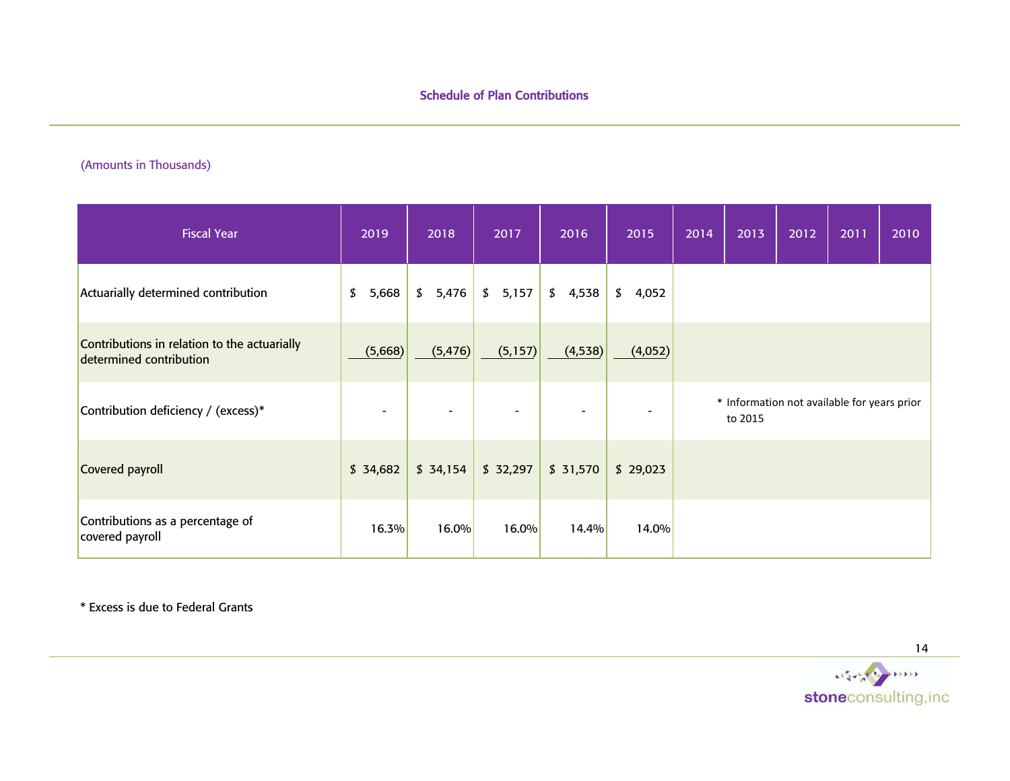# (Amounts in Thousands)

| <b>Fiscal Year</b>                                                      | 2019        | 2018     | 2017                     | 2016     | 2015     | 2014 | 2013    | 2012 | 2011                                        | 2010 |
|-------------------------------------------------------------------------|-------------|----------|--------------------------|----------|----------|------|---------|------|---------------------------------------------|------|
| Actuarially determined contribution                                     | \$<br>5,668 | \$5,476  | \$5,157                  | \$4,538  | \$4,052  |      |         |      |                                             |      |
| Contributions in relation to the actuarially<br>determined contribution | (5,668)     | (5, 476) | (5,157)                  | (4,538)  | (4,052)  |      |         |      |                                             |      |
| Contribution deficiency / (excess)*                                     |             |          | $\overline{\phantom{a}}$ |          |          |      | to 2015 |      | * Information not available for years prior |      |
| Covered payroll                                                         | \$34,682    | \$34,154 | \$32,297                 | \$31,570 | \$29,023 |      |         |      |                                             |      |
| Contributions as a percentage of<br>covered payroll                     | 16.3%       | 16.0%    | 16.0%                    | 14.4%    | 14.0%    |      |         |      |                                             |      |

\* Excess is due to Federal Grants

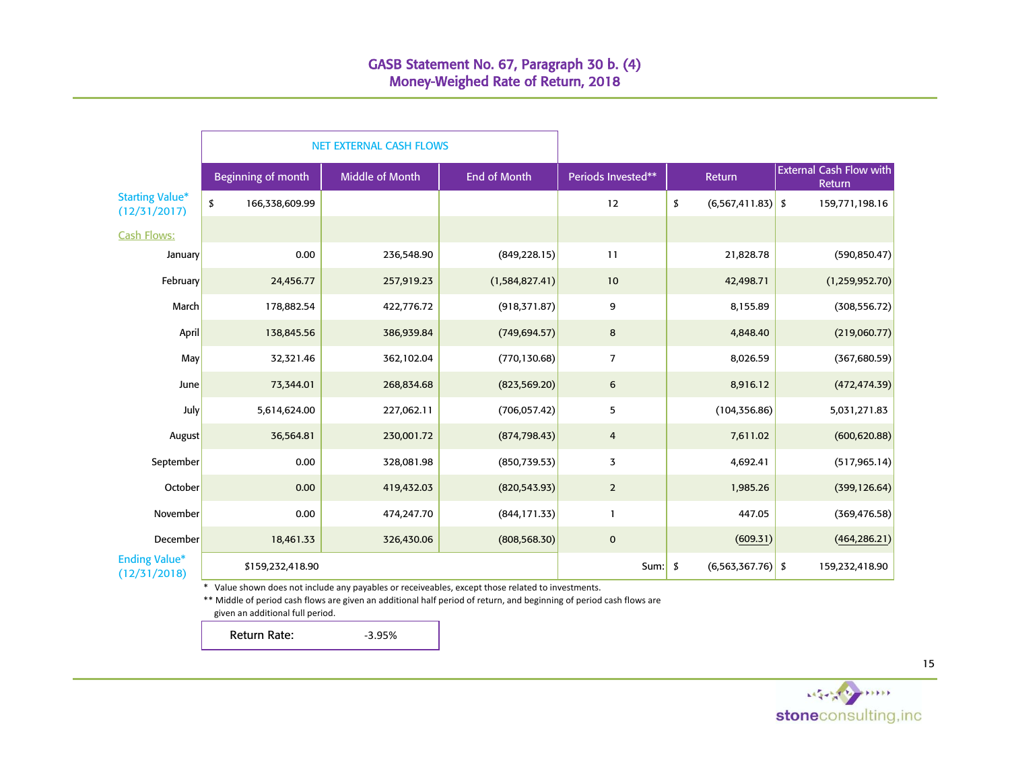|                                        |                    |                  | <b>NET EXTERNAL CASH FLOWS</b>                                                                  |                  |                    |                        |                                          |
|----------------------------------------|--------------------|------------------|-------------------------------------------------------------------------------------------------|------------------|--------------------|------------------------|------------------------------------------|
|                                        | Beginning of month |                  | Middle of Month                                                                                 | End of Month     | Periods Invested** | Return                 | <b>External Cash Flow with</b><br>Return |
| <b>Starting Value*</b><br>(12/31/2017) | \$                 | 166,338,609.99   |                                                                                                 |                  | 12                 | \$<br>(6, 567, 411.83) | \$<br>159,771,198.16                     |
| <b>Cash Flows:</b>                     |                    |                  |                                                                                                 |                  |                    |                        |                                          |
| January                                |                    | 0.00             | 236,548.90                                                                                      | (849, 228.15)    | 11                 | 21,828.78              | (590, 850.47)                            |
| February                               |                    | 24,456.77        | 257,919.23                                                                                      | (1, 584, 827.41) | 10                 | 42,498.71              | (1, 259, 952.70)                         |
| March                                  |                    | 178,882.54       | 422,776.72                                                                                      | (918, 371.87)    | 9                  | 8,155.89               | (308, 556.72)                            |
| April                                  |                    | 138,845.56       | 386,939.84                                                                                      | (749, 694.57)    | 8                  | 4,848.40               | (219,060.77)                             |
| May                                    |                    | 32,321.46        | 362,102.04                                                                                      | (770, 130.68)    | $\overline{7}$     | 8,026.59               | (367, 680.59)                            |
| June                                   |                    | 73,344.01        | 268,834.68                                                                                      | (823, 569.20)    | 6                  | 8,916.12               | (472, 474.39)                            |
| <b>July</b>                            |                    | 5,614,624.00     | 227,062.11                                                                                      | (706, 057.42)    | 5                  | (104, 356.86)          | 5,031,271.83                             |
| August                                 |                    | 36,564.81        | 230,001.72                                                                                      | (874, 798.43)    | $\overline{a}$     | 7,611.02               | (600, 620.88)                            |
| September                              |                    | 0.00             | 328,081.98                                                                                      | (850, 739.53)    | 3                  | 4,692.41               | (517, 965.14)                            |
| October                                |                    | 0.00             | 419,432.03                                                                                      | (820, 543.93)    | $\overline{2}$     | 1,985.26               | (399, 126.64)                            |
| November                               |                    | 0.00             | 474,247.70                                                                                      | (844, 171.33)    | $\mathbf{1}$       | 447.05                 | (369, 476.58)                            |
| December                               |                    | 18,461.33        | 326,430.06                                                                                      | (808, 568.30)    | $\mathbf 0$        | (609.31)               | (464, 286.21)                            |
| <b>Ending Value*</b><br>(12/31/2018)   |                    | \$159,232,418.90 |                                                                                                 |                  | Sum: $\frac{1}{2}$ | $(6, 563, 367.76)$ \$  | 159,232,418.90                           |
|                                        | *                  |                  | Value shown does not include any payables or receiveables, except those related to investments. |                  |                    |                        |                                          |

\*\* Middle of period cash flows are given an additional half period of return, and beginning of period cash flows are given an additional full period.

Return Rate: 3.95%

stoneconsulting, inc

<sup>15</sup>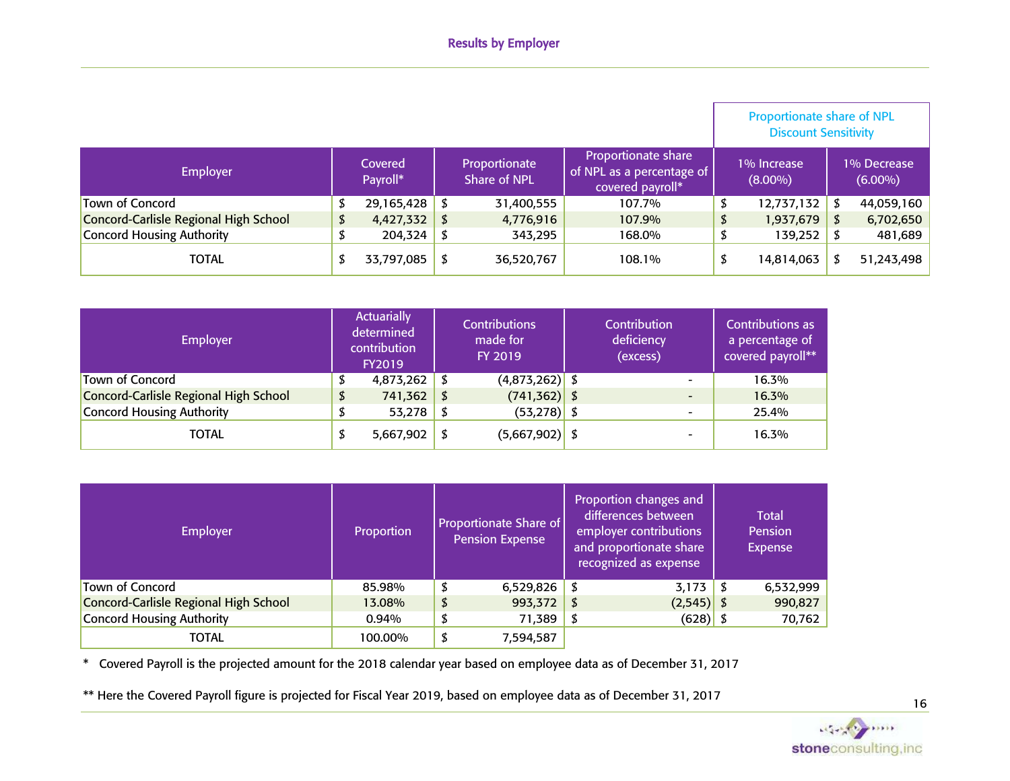|                                       |                     |    |                               |                                                                             |    | <b>Proportionate share of NPL</b><br><b>Discount Sensitivity</b> |    |                           |
|---------------------------------------|---------------------|----|-------------------------------|-----------------------------------------------------------------------------|----|------------------------------------------------------------------|----|---------------------------|
| <b>Employer</b>                       | Covered<br>Payroll* |    | Proportionate<br>Share of NPL | <b>Proportionate share</b><br>of NPL as a percentage of<br>covered payroll* |    | 1% Increase<br>$(8.00\%)$                                        |    | 1% Decrease<br>$(6.00\%)$ |
| Town of Concord                       | 29,165,428          |    | 31,400,555                    | 107.7%                                                                      |    | 12,737,132                                                       |    | 44,059,160                |
| Concord-Carlisle Regional High School | 4,427,332           | \$ | 4,776,916                     | 107.9%                                                                      | \$ | 1,937,679                                                        | \$ | 6,702,650                 |
| Concord Housing Authority             | 204,324             |    | 343,295                       | 168.0%                                                                      |    | 139,252                                                          |    | 481,689                   |
| <b>TOTAL</b>                          | 33,797,085          | S  | 36,520,767                    | 108.1%                                                                      | D  | 14,814,063                                                       |    | 51,243,498                |

| <b>Employer</b>                       | <b>Actuarially</b><br>determined<br>contribution<br><b>FY2019</b> |     | <b>Contributions</b><br>made for<br>FY 2019 | Contribution<br>deficiency<br>(excess) | Contributions as<br>a percentage of<br>covered payroll** |
|---------------------------------------|-------------------------------------------------------------------|-----|---------------------------------------------|----------------------------------------|----------------------------------------------------------|
| Town of Concord                       | 4,873,262                                                         | - 5 | $(4,873,262)$ \$                            | $\overline{\phantom{0}}$               | 16.3%                                                    |
| Concord-Carlisle Regional High School | \$<br>741,362                                                     | - 5 | $(741, 362)$ \$                             |                                        | 16.3%                                                    |
| Concord Housing Authority             | 53,278                                                            | - S | $(53,278)$ \$                               |                                        | 25.4%                                                    |
| <b>TOTAL</b>                          | 5,667,902                                                         |     | $(5,667,902)$ \$                            |                                        | 16.3%                                                    |

| <b>Employer</b>                       | Proportion | <b>Proportionate Share of</b><br><b>Pension Expense</b> | Proportion changes and<br>differences between<br>employer contributions<br>and proportionate share<br>recognized as expense | Total<br>Pension<br><b>Expense</b> |
|---------------------------------------|------------|---------------------------------------------------------|-----------------------------------------------------------------------------------------------------------------------------|------------------------------------|
| Town of Concord                       | 85.98%     | \$<br>6,529,826                                         | 3,173                                                                                                                       | 6,532,999                          |
| Concord-Carlisle Regional High School | 13.08%     | \$<br>993,372                                           | $(2,545)$ \$                                                                                                                | 990,827                            |
| Concord Housing Authority             | 0.94%      | \$<br>71,389                                            | $(628)$ \$                                                                                                                  | 70,762                             |
| <b>TOTAL</b>                          | 100.00%    | \$<br>7,594,587                                         |                                                                                                                             |                                    |

\* Covered Payroll is the projected amount for the 2018 calendar year based on employee data as of December 31, 2017

\*\* Here the Covered Payroll figure is projected for Fiscal Year 2019, based on employee data as of December 31, 2017

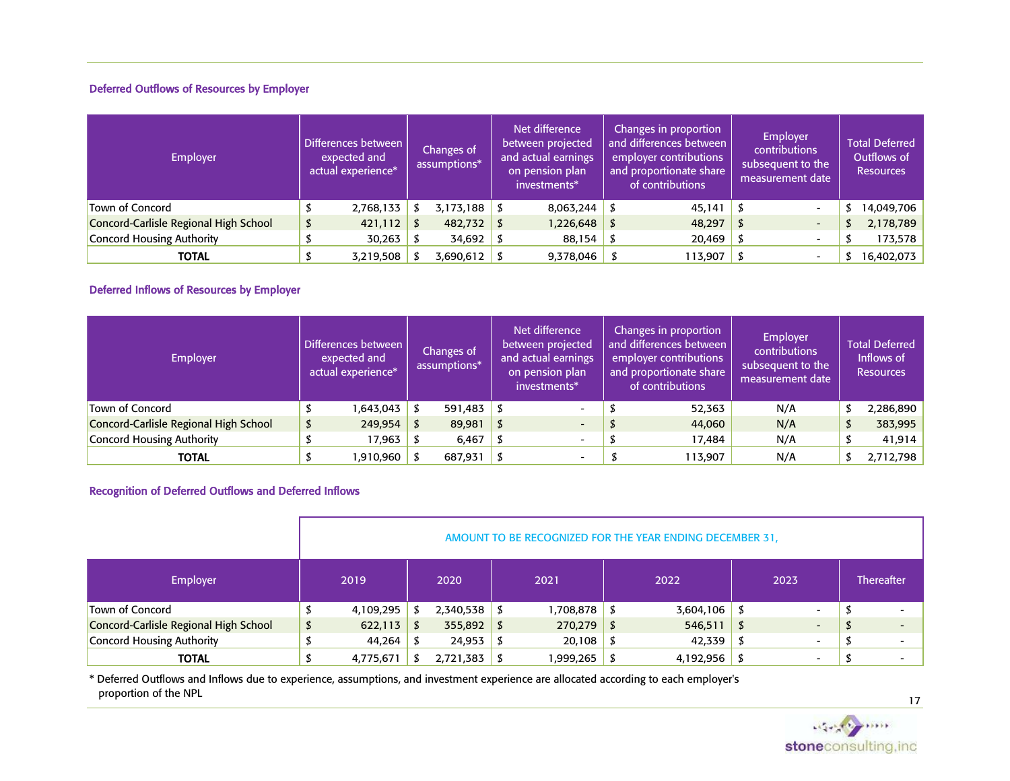## Deferred Outflows of Resources by Employer

| Employer                              | Differences between<br>expected and<br>actual experience* | Changes of<br>assumptions* | Net difference<br>between projected<br>and actual earnings<br>on pension plan<br>investments* | Changes in proportion<br>and differences between<br>employer contributions<br>and proportionate share<br>of contributions |      | Employer<br>contributions<br>subsequent to the<br>measurement date | <b>Total Deferred</b><br>Outflows of<br><b>Resources</b> |
|---------------------------------------|-----------------------------------------------------------|----------------------------|-----------------------------------------------------------------------------------------------|---------------------------------------------------------------------------------------------------------------------------|------|--------------------------------------------------------------------|----------------------------------------------------------|
| <b>Town of Concord</b>                | 2,768,133                                                 | $3,173,188$ \$             | 8,063,244                                                                                     | 45,141                                                                                                                    |      | $\overline{\phantom{0}}$                                           | 14,049,706                                               |
| Concord-Carlisle Regional High School | 421,112                                                   | 482,732                    | 1,226,648                                                                                     | 48,297                                                                                                                    | - 85 | $\overline{\phantom{0}}$                                           | 2,178,789                                                |
| Concord Housing Authority             | 30,263                                                    | 34,692                     | 88,154                                                                                        | 20,469                                                                                                                    |      |                                                                    | 173,578                                                  |
| <b>TOTAL</b>                          | 3,219,508                                                 | 3,690,612                  | 9,378,046                                                                                     | 113,907                                                                                                                   |      | $\overline{\phantom{0}}$                                           | 16,402,073                                               |

# Deferred Inflows of Resources by Employer

| Employer                              | Differences between<br>expected and<br>actual experience* | Changes of<br>assumptions* | Net difference<br>between projected<br>and actual earnings<br>on pension plan<br>investments* | Changes in proportion<br>and differences between<br>employer contributions<br>and proportionate share<br>of contributions | Employer<br>contributions<br>subsequent to the<br>measurement date |    | <b>Total Deferred</b><br>Inflows of<br><b>Resources</b> |
|---------------------------------------|-----------------------------------------------------------|----------------------------|-----------------------------------------------------------------------------------------------|---------------------------------------------------------------------------------------------------------------------------|--------------------------------------------------------------------|----|---------------------------------------------------------|
| Town of Concord                       | 1,643,043                                                 | 591,483                    | $\overline{\phantom{0}}$                                                                      | 52,363                                                                                                                    | N/A                                                                |    | 2,286,890                                               |
| Concord-Carlisle Regional High School | 249,954                                                   | \$<br>89,981               | $\overline{\phantom{a}}$                                                                      | 44,060                                                                                                                    | N/A                                                                | \$ | 383,995                                                 |
| Concord Housing Authority             | 17,963                                                    | 6,467                      | $\overline{\phantom{a}}$                                                                      | 17,484                                                                                                                    | N/A                                                                | S  | 41,914                                                  |
| TOTAL                                 | 1,910,960                                                 | 687,931                    | $\overline{\phantom{0}}$                                                                      | 113,907                                                                                                                   | N/A                                                                |    | 2,712,798                                               |

## Recognition of Deferred Outflows and Deferred Inflows

|                                       |                                                                                   |      |           |      |              |      | AMOUNT TO BE RECOGNIZED FOR THE YEAR ENDING DECEMBER 31, |      |                          |                   |  |
|---------------------------------------|-----------------------------------------------------------------------------------|------|-----------|------|--------------|------|----------------------------------------------------------|------|--------------------------|-------------------|--|
| Employer                              | 2019                                                                              | 2020 |           | 2021 |              | 2022 |                                                          | 2023 |                          | <b>Thereafter</b> |  |
| Town of Concord                       | 4,109,295                                                                         | 5    | 2,340,538 | - 5  | 1,708,878    | -5   | 3,604,106                                                | - 5  | $\overline{\phantom{0}}$ |                   |  |
| Concord-Carlisle Regional High School | \$<br>622,113                                                                     | \$   | 355,892   | S    | $270,279$ \$ |      | 546,511                                                  | - S  | $\overline{\phantom{a}}$ |                   |  |
| Concord Housing Authority             | 44,264                                                                            | - 5  | 24,953    |      | $20,108$ \$  |      | 42,339                                                   |      | $\overline{\phantom{0}}$ |                   |  |
| <b>TOTAL</b>                          | 4,192,956<br>2,721,383<br>1,999,265<br>4,775,671<br>S<br>$\overline{\phantom{0}}$ |      |           |      |              |      |                                                          |      |                          |                   |  |

\* Deferred Outflows and Inflows due to experience, assumptions, and investment experience are allocated according to each employer's proportion of the NPL

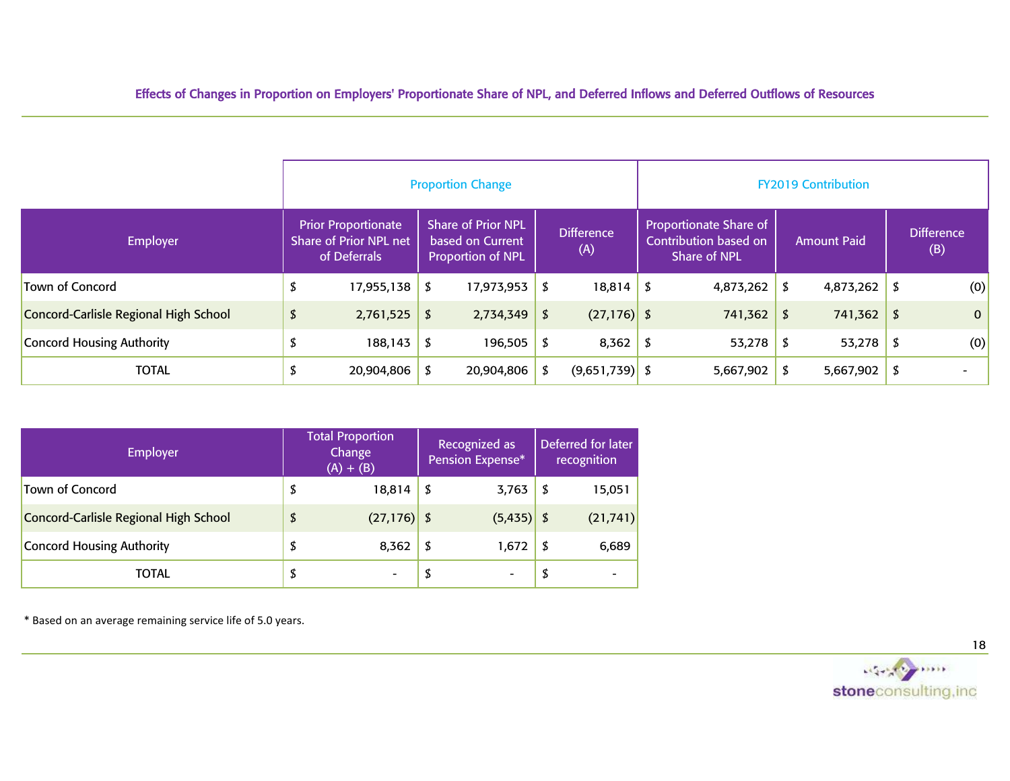|                                       |    |                                                                      |      | <b>Proportion Change</b>                                                                                                                                                        |    |                  | <b>FY2019 Contribution</b> |           |                          |              |     |              |  |  |  |  |
|---------------------------------------|----|----------------------------------------------------------------------|------|---------------------------------------------------------------------------------------------------------------------------------------------------------------------------------|----|------------------|----------------------------|-----------|--------------------------|--------------|-----|--------------|--|--|--|--|
| <b>Employer</b>                       |    | <b>Prior Proportionate</b><br>Share of Prior NPL net<br>of Deferrals |      | <b>Share of Prior NPL</b><br><b>Proportionate Share of</b><br><b>Difference</b><br>Contribution based on<br>based on Current<br>(A)<br>Share of NPL<br><b>Proportion of NPL</b> |    |                  | <b>Amount Paid</b>         |           | <b>Difference</b><br>(B) |              |     |              |  |  |  |  |
| Town of Concord                       | D  | 17,955,138                                                           | \$   | 17,973,953                                                                                                                                                                      | \$ | 18,814           | - \$                       | 4,873,262 | \$                       | 4,873,262    | I S | (0)          |  |  |  |  |
| Concord-Carlisle Regional High School | \$ | 2,761,525                                                            | \$   | 2,734,349                                                                                                                                                                       | \$ | $(27, 176)$ \$   |                            | 741,362   | \$                       | $741,362$ \$ |     | $\mathbf{0}$ |  |  |  |  |
| Concord Housing Authority             |    | 188,143                                                              | - \$ | 196,505                                                                                                                                                                         | \$ | 8,362            | - \$                       | 53,278    | \$                       | $53,278$ \$  |     | (0)          |  |  |  |  |
| <b>TOTAL</b>                          |    | 20,904,806                                                           | S    | 20,904,806                                                                                                                                                                      |    | $(9,651,739)$ \$ |                            | 5,667,902 |                          | 5,667,902    | I S |              |  |  |  |  |

| <b>Employer</b>                       | <b>Total Proportion</b><br>Change<br>$(A) + (B)$ |     | Recognized as<br>Pension Expense* | Deferred for later<br>recognition |
|---------------------------------------|--------------------------------------------------|-----|-----------------------------------|-----------------------------------|
| <b>Town of Concord</b>                | \$<br>18,814                                     | \$  | 3,763                             | \$<br>15,051                      |
| Concord-Carlisle Regional High School | \$<br>(27, 176)                                  | - S | (5, 435)                          | (21, 741)                         |
| Concord Housing Authority             | \$<br>8,362                                      | \$  | 1,672                             | \$<br>6,689                       |
| TOTAL                                 | \$                                               | \$  |                                   | \$                                |

\* Based on an average remaining service life of 5.0 years.

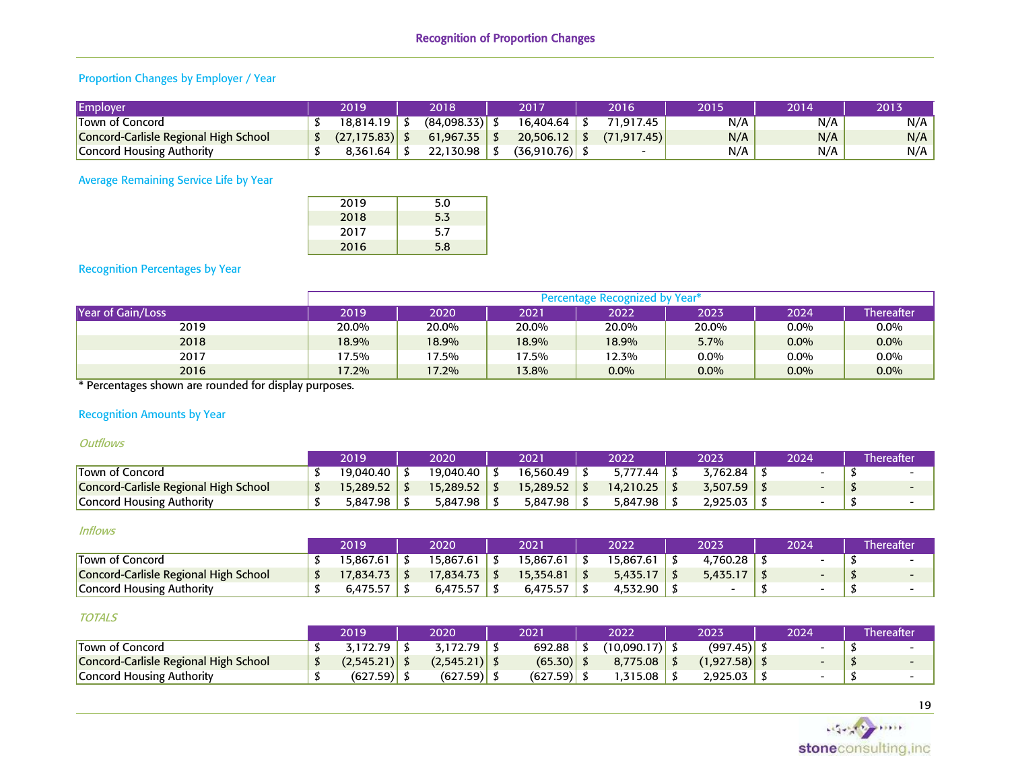# Proportion Changes by Employer / Year

| Employer                              | 2019         | 2018        | 2017        | 2016        | 2015 | 2014 | 2013 |
|---------------------------------------|--------------|-------------|-------------|-------------|------|------|------|
| Town of Concord                       | 18,814.19    | (84,098.33) | 16.404.64   | 71.917.45   | N/A  | N/A  | N/A  |
| Concord-Carlisle Regional High School | (27, 175.83) | 61.967.35   | 20,506.12   | (71.917.45) | N/A  | N/A  | N/A  |
| <b>Concord Housing Authority</b>      | 8.361.64     | 22,130.98   | (36,910.76) | -           | N/A  | N/A  | N/A  |

Average Remaining Service Life by Year

| 2019 | 5.0 |
|------|-----|
| 2018 | 5.3 |
| 2017 | 5.7 |
| 2016 | 5.8 |

## Recognition Percentages by Year

|                   |       |       |       | Percentage Recognized by Year* |         |         |                   |
|-------------------|-------|-------|-------|--------------------------------|---------|---------|-------------------|
| Year of Gain/Loss | 2019  | 2020  | 2021  | 2022                           | 2023    | 2024    | <b>Thereafter</b> |
| 2019              | 20.0% | 20.0% | 20.0% | 20.0%                          | 20.0%   | $0.0\%$ | $0.0\%$           |
| 2018              | 18.9% | 18.9% | 18.9% | 18.9%                          | 5.7%    | $0.0\%$ | $0.0\%$           |
| 2017              | 17.5% | 17.5% | 7.5%  | 12.3%                          | $0.0\%$ | $0.0\%$ | $0.0\%$           |
| 2016<br>.         | 17.2% | 17.2% | 13.8% | $0.0\%$                        | $0.0\%$ | $0.0\%$ | $0.0\%$           |

\* Percentages shown are rounded for display purposes.

## Recognition Amounts by Year

#### **Outflows**

|                                       | 2019      | 2020      | 2021      | 2022      | 2023     | 2024 | <b>Thereafter</b> |
|---------------------------------------|-----------|-----------|-----------|-----------|----------|------|-------------------|
| Town of Concord                       | 19.040.40 | 19.040.40 | 16.560.49 | 5.777.44  | 5,762.84 |      |                   |
| Concord-Carlisle Regional High School | 15,289.52 | 15,289.52 | 15.289.52 | 14.210.25 | 3,507.59 |      |                   |
| Concord Housing Authority             | 5,847.98  | 5.847.98  | 5.847.98  | 5.847.98  | 2.925.03 |      |                   |

#### Inflows

|                                       | 2019     | 2020      | 2021      | 2022     | 2023     | 2024 | Thereafter |
|---------------------------------------|----------|-----------|-----------|----------|----------|------|------------|
| Town of Concord                       | 5.867.61 | '5.867.61 | '5,867.61 | 5.867.61 | ,760.28  |      |            |
| Concord-Carlisle Regional High School | 7,834.73 | 17,834.73 | 5.354.81  | 5,435.17 | 5.435.17 |      |            |
| Concord Housing Authority             | 6.475.5  | 475.57,د  | 6.475.57  | 4,532,90 |          |      |            |

#### TOTALS

|                                       | 2019           | 2020            | 2021     | 2022        | 2023       | 2024 | Thereafter |
|---------------------------------------|----------------|-----------------|----------|-------------|------------|------|------------|
| Town of Concord                       | 3,172.79       | 5,172.79        | 692.88   | (10.090.17) | (997.45)   |      |            |
| Concord-Carlisle Regional High School | (2,545.21)  \$ | $(2,545.21)$ \$ | (65.30)  | 8.775.08    | (1,927.58) |      |            |
| Concord Housing Authority             | (627.59)       | $(627.59)$ ,    | (627.59) | .315.08     | 2,925.03   |      |            |

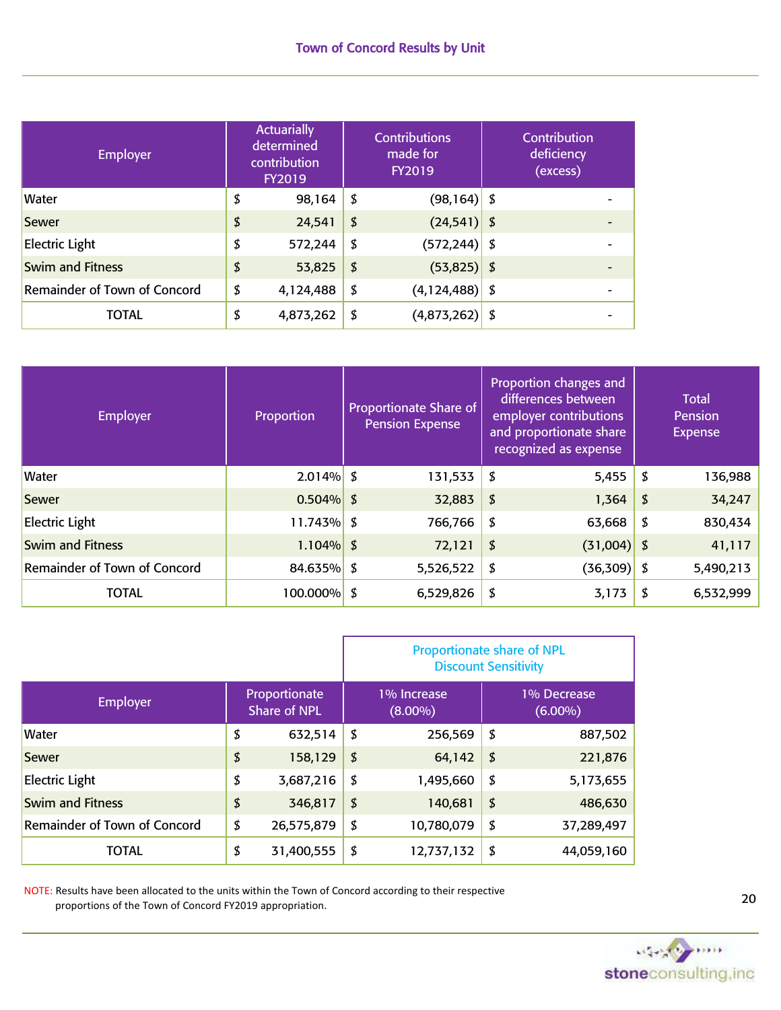| <b>Employer</b>              | <b>Actuarially</b><br>determined<br>contribution<br><b>FY2019</b> | <b>Contributions</b><br>made for<br><b>FY2019</b> | Contribution<br>deficiency<br>(excess) |  |
|------------------------------|-------------------------------------------------------------------|---------------------------------------------------|----------------------------------------|--|
| <b>Water</b>                 | \$<br>98,164                                                      | \$<br>$(98, 164)$ \$                              |                                        |  |
| Sewer                        | \$<br>24,541                                                      | \$<br>$(24, 541)$ \$                              |                                        |  |
| <b>Electric Light</b>        | \$<br>572,244                                                     | \$<br>$(572, 244)$ \$                             |                                        |  |
| <b>Swim and Fitness</b>      | \$<br>53,825                                                      | \$<br>$(53,825)$ \$                               |                                        |  |
| Remainder of Town of Concord | \$<br>4,124,488                                                   | \$<br>$(4,124,488)$ \$                            |                                        |  |
| <b>TOTAL</b>                 | \$<br>4,873,262                                                   | \$<br>$(4,873,262)$ \$                            |                                        |  |

| <b>Employer</b>              | Proportion    | <b>Proportionate Share of</b><br><b>Pension Expense</b> | Proportion changes and<br>differences between<br>employer contributions<br>and proportionate share<br>recognized as expense |     | <b>Total</b><br>Pension<br>Expense |
|------------------------------|---------------|---------------------------------------------------------|-----------------------------------------------------------------------------------------------------------------------------|-----|------------------------------------|
| <b>Water</b>                 | $2.014\%$ \$  | 131,533                                                 | \$<br>5,455                                                                                                                 | \$  | 136,988                            |
| Sewer                        | $0.504\%$ \$  | 32,883                                                  | \$<br>1,364                                                                                                                 | \$  | 34,247                             |
| <b>Electric Light</b>        | $11.743\%$ \$ | 766,766                                                 | \$<br>63,668                                                                                                                | \$  | 830,434                            |
| <b>Swim and Fitness</b>      | $1.104\%$ \$  | 72,121                                                  | \$<br>(31,004)                                                                                                              | -\$ | 41,117                             |
| Remainder of Town of Concord | 84.635% \$    | 5,526,522                                               | \$<br>(36, 309)                                                                                                             | \$  | 5,490,213                          |
| <b>TOTAL</b>                 | 100.000%   \$ | 6,529,826                                               | \$<br>3,173                                                                                                                 |     | 6,532,999                          |

|                              |                                      | <b>Proportionate share of NPL</b><br><b>Discount Sensitivity</b> |                           |    |                           |  |  |  |  |  |  |
|------------------------------|--------------------------------------|------------------------------------------------------------------|---------------------------|----|---------------------------|--|--|--|--|--|--|
| <b>Employer</b>              | Proportionate<br><b>Share of NPL</b> |                                                                  | 1% Increase<br>$(8.00\%)$ |    | 1% Decrease<br>$(6.00\%)$ |  |  |  |  |  |  |
| <b>Water</b>                 | \$<br>632,514                        | \$                                                               | 256,569                   | \$ | 887,502                   |  |  |  |  |  |  |
| <b>Sewer</b>                 | \$<br>158,129                        | \$                                                               | 64,142                    | \$ | 221,876                   |  |  |  |  |  |  |
| <b>Electric Light</b>        | \$<br>3,687,216                      | \$                                                               | 1,495,660                 | \$ | 5,173,655                 |  |  |  |  |  |  |
| <b>Swim and Fitness</b>      | \$<br>346,817                        | \$                                                               | 140,681                   | \$ | 486,630                   |  |  |  |  |  |  |
| Remainder of Town of Concord | \$<br>26,575,879                     | \$                                                               | 10,780,079                | \$ | 37,289,497                |  |  |  |  |  |  |
| <b>TOTAL</b>                 | \$<br>31,400,555                     | \$                                                               | 12,737,132                | \$ | 44,059,160                |  |  |  |  |  |  |

NOTE: Results have been allocated to the units within the Town of Concord according to their respective proportions of the Town of Concord FY2019 appropriation.

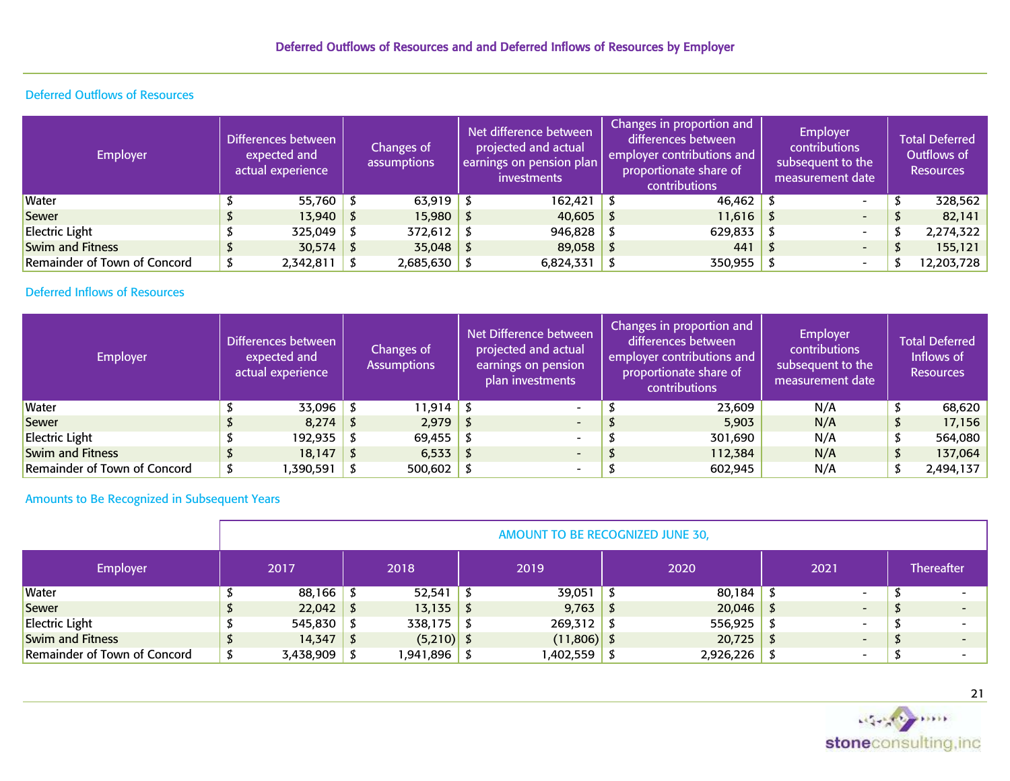# Deferred Outflows of Resources

| <b>Employer</b>              | Differences between<br>expected and<br>actual experience | assumptions |                | Net difference between<br>projected and actual<br>earnings on pension plan<br><i>investments</i> | Changes in proportion and<br>differences between<br>employer contributions and<br>proportionate share of<br>contributions | <b>Employer</b><br>contributions<br>subsequent to the<br>measurement date | <b>Total Deferred</b><br>Outflows of<br><b>Resources</b> |
|------------------------------|----------------------------------------------------------|-------------|----------------|--------------------------------------------------------------------------------------------------|---------------------------------------------------------------------------------------------------------------------------|---------------------------------------------------------------------------|----------------------------------------------------------|
| <b>Water</b>                 | $55,760$ \$                                              |             | $63,919$ \$    | 162,421                                                                                          | 46,462                                                                                                                    | $\overline{\phantom{0}}$                                                  | 328,562                                                  |
| Sewer                        | $13,940$ \$                                              |             | $15,980$ \$    | 40,605                                                                                           | 11,616                                                                                                                    | $\overline{\phantom{0}}$                                                  | 82,141                                                   |
| Electric Light               | $325,049$ \$                                             |             | $372,612$ \$   | 946,828                                                                                          | 629,833                                                                                                                   | $\overline{\phantom{0}}$                                                  | 2,274,322                                                |
| Swim and Fitness             | $30,574$ \$                                              |             | $35,048$ \$    | 89,058                                                                                           | 441                                                                                                                       | $\overline{\phantom{0}}$                                                  | 155,121                                                  |
| Remainder of Town of Concord | 2,342,811                                                |             | $2,685,630$ \$ | 6,824,331                                                                                        | 350,955                                                                                                                   | $\overline{\phantom{0}}$                                                  | 12,203,728                                               |

# Deferred Inflows of Resources

| <b>Employer</b>              | Differences between<br>expected and<br>actual experience | Changes of<br><b>Assumptions</b> |  | Net Difference between<br>projected and actual<br>earnings on pension<br>plan investments | Changes in proportion and<br>differences between<br>employer contributions and<br>proportionate share of<br>contributions | <b>Employer</b><br>contributions<br>subsequent to the<br>measurement date | <b>Total Deferred</b><br>Inflows of<br><b>Resources</b> |
|------------------------------|----------------------------------------------------------|----------------------------------|--|-------------------------------------------------------------------------------------------|---------------------------------------------------------------------------------------------------------------------------|---------------------------------------------------------------------------|---------------------------------------------------------|
| <b>Water</b>                 | $33,096$ \$                                              | $11,914$ \$                      |  | $\sim$                                                                                    | 23,609                                                                                                                    | N/A                                                                       | 68,620                                                  |
| Sewer                        | $8,274$ \$                                               | $2,979$ \$                       |  | $\overline{\phantom{0}}$                                                                  | 5,903                                                                                                                     | N/A                                                                       | 17,156                                                  |
| Electric Light               | $192,935$ \$                                             | 69,455 \$                        |  | $\overline{\phantom{0}}$                                                                  | 301,690                                                                                                                   | N/A                                                                       | 564,080                                                 |
| Swim and Fitness             | $18,147$ \$                                              | $6,533$   \$                     |  | $\overline{\phantom{0}}$                                                                  | 112,384                                                                                                                   | N/A                                                                       | \$<br>137,064                                           |
| Remainder of Town of Concord | ,390,591                                                 | $500,602$ \$                     |  | $\overline{\phantom{0}}$                                                                  | 602,945                                                                                                                   | N/A                                                                       | 2,494,137                                               |

# Amounts to Be Recognized in Subsequent Years

|                              | AMOUNT TO BE RECOGNIZED JUNE 30, |                |  |                |  |               |  |           |  |                          |  |                   |  |  |  |
|------------------------------|----------------------------------|----------------|--|----------------|--|---------------|--|-----------|--|--------------------------|--|-------------------|--|--|--|
| Employer                     |                                  | 2017           |  | 2018           |  | 2019          |  | 2020      |  | 2021                     |  | <b>Thereafter</b> |  |  |  |
| <b>Water</b>                 |                                  | $88,166$ \$    |  | $52,541$ \$    |  | 39,051        |  | 80,184    |  | $\overline{\phantom{a}}$ |  |                   |  |  |  |
| Sewer                        |                                  | $22,042$ \$    |  | $13,135$ \$    |  | $9,763  $ \$  |  | 20,046    |  | $\overline{\phantom{0}}$ |  |                   |  |  |  |
| <b>Electric Light</b>        |                                  | $545,830$ \$   |  | $338,175$ \$   |  | 269,312       |  | 556,925   |  | $\overline{\phantom{0}}$ |  |                   |  |  |  |
| <b>Swim and Fitness</b>      |                                  | $14,347$ \$    |  | $(5,210)$ \$   |  | $(11,806)$ \$ |  | 20,725    |  | $\overline{\phantom{0}}$ |  |                   |  |  |  |
| Remainder of Town of Concord |                                  | $3,438,909$ \$ |  | l,941,896   \$ |  | 402,559, ا    |  | 2,926,226 |  | $\overline{\phantom{a}}$ |  |                   |  |  |  |

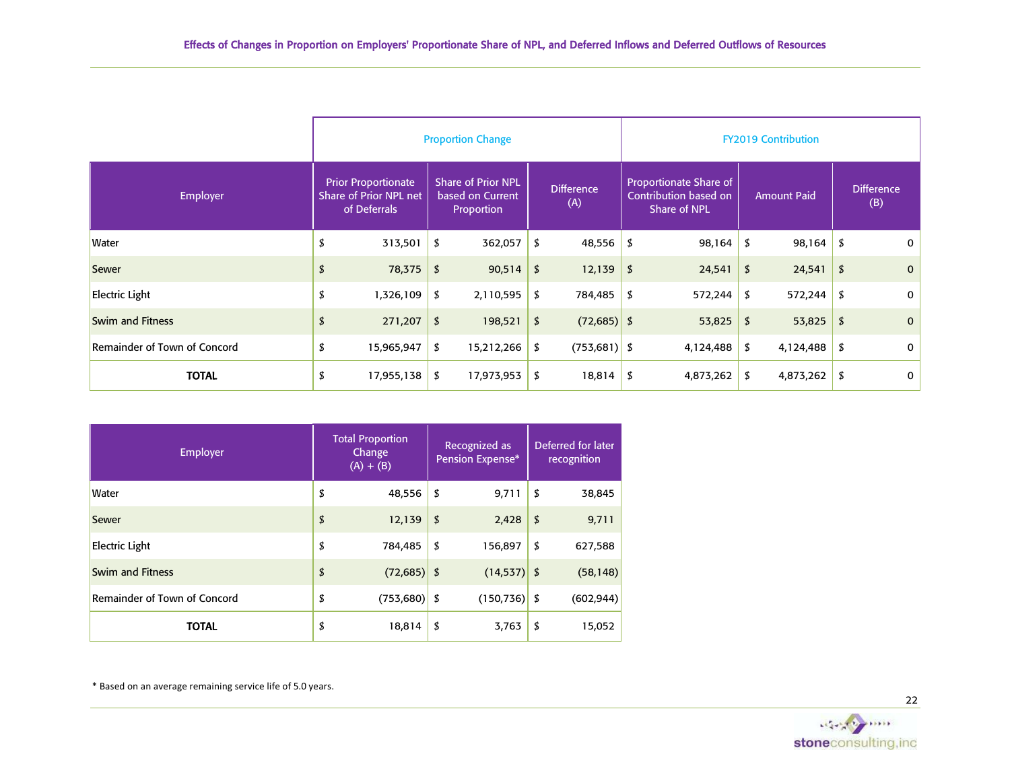|                                     |                                                                             |                  | <b>Proportion Change</b>                                    |    |                          | <b>FY2019 Contribution</b> |                                                                               |    |                    |    |                          |  |
|-------------------------------------|-----------------------------------------------------------------------------|------------------|-------------------------------------------------------------|----|--------------------------|----------------------------|-------------------------------------------------------------------------------|----|--------------------|----|--------------------------|--|
| <b>Employer</b>                     | <b>Prior Proportionate</b><br><b>Share of Prior NPL net</b><br>of Deferrals |                  | <b>Share of Prior NPL</b><br>based on Current<br>Proportion |    | <b>Difference</b><br>(A) |                            | <b>Proportionate Share of</b><br>Contribution based on<br><b>Share of NPL</b> |    | <b>Amount Paid</b> |    | <b>Difference</b><br>(B) |  |
| <b>Water</b>                        | \$<br>313,501                                                               | \$               | 362,057                                                     | \$ | 48,556                   | \$                         | 98,164                                                                        | \$ | 98,164             | \$ | 0                        |  |
| Sewer                               | \$<br>78,375                                                                | \$               | 90,514                                                      | \$ | 12,139                   | \$                         | 24,541                                                                        | \$ | 24,541             | \$ | $\mathbf 0$              |  |
| <b>Electric Light</b>               | \$<br>1,326,109                                                             | \$               | 2,110,595                                                   | \$ | 784,485                  | \$                         | 572,244                                                                       | \$ | 572,244            | \$ | 0                        |  |
| <b>Swim and Fitness</b>             | \$<br>271,207                                                               | \$               | 198,521                                                     | \$ | $(72,685)$ \$            |                            | 53,825                                                                        | \$ | 53,825             | \$ | $\mathbf 0$              |  |
| <b>Remainder of Town of Concord</b> | \$<br>15,965,947                                                            | \$               | 15,212,266                                                  | \$ | $(753,681)$ \$           |                            | 4,124,488                                                                     | \$ | 4,124,488          | \$ | 0                        |  |
| <b>TOTAL</b>                        | \$<br>17,955,138                                                            | \$<br>17,973,953 |                                                             |    | 18,814                   | 4,873,262<br>- \$          |                                                                               | \$ | 4,873,262          | \$ | 0                        |  |

| Employer                     | <b>Total Proportion</b><br>Change<br>$(A) + (B)$ | Recognized as<br>Pension Expense* | Deferred for later<br>recognition |
|------------------------------|--------------------------------------------------|-----------------------------------|-----------------------------------|
| Water                        | \$<br>48,556                                     | \$<br>9,711                       | \$<br>38,845                      |
| Sewer                        | \$<br>12,139                                     | \$<br>2,428                       | \$<br>9,711                       |
| <b>Electric Light</b>        | \$<br>784,485                                    | \$<br>156,897                     | \$<br>627,588                     |
| Swim and Fitness             | \$<br>$(72,685)$ \$                              | $(14, 537)$ \$                    | (58, 148)                         |
| Remainder of Town of Concord | \$<br>$(753,680)$ \$                             | $(150, 736)$ \$                   | (602, 944)                        |
| <b>TOTAL</b>                 | \$<br>18,814                                     | \$<br>3,763                       | \$<br>15,052                      |

\* Based on an average remaining service life of 5.0 years.

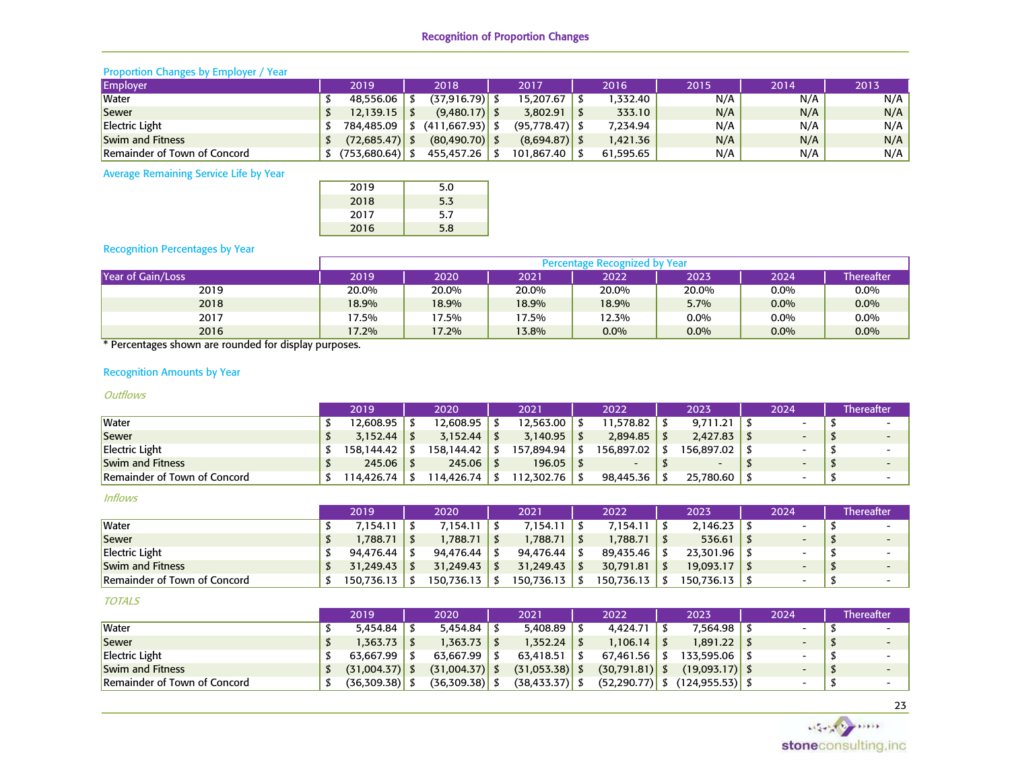## Recognition of Proportion Changes

#### Proportion Changes by Employer / Year

| Employer                            | 2019             | 2018              | 2017             | 2016      | 2015' | 2014 | 2013 |
|-------------------------------------|------------------|-------------------|------------------|-----------|-------|------|------|
| <b>Water</b>                        | 48.556.06        | (37,916.79)       | 15.207.67        | .332.40   | N/A   | N/A  | N/A  |
| Sewer                               | 12,139.15        | $(9,480.17)$ \$   | 3.802.91         | 333.10    | N/A   | N/A  | N/A  |
| <b>Electric Light</b>               | 784,485.09       | $(411.667.93)$ \$ | $(95.778.47)$ \$ | 7,234.94  | N/A   | N/A  | N/A  |
| <b>Swim and Fitness</b>             | $(72,685.47)$ .  | $(80, 490.70)$ \$ | (8,694.87)       | 1,421.36  | N/A   | N/A  | N/A  |
| <b>Remainder of Town of Concord</b> | $(753,680.64)$ . | 455,457.26        | 101.867.40       | 61.595.65 | N/A   | N/A  | N/A  |

Average Remaining Service Life by Year

| 2019 | 5.0 |
|------|-----|
| 2018 | 5.3 |
| 2017 | 5.7 |
| 2016 | 5.8 |
|      |     |

## Recognition Percentages by Year

|                   | Percentage Recognized by Year |       |         |          |         |         |                   |  |  |  |  |  |  |  |
|-------------------|-------------------------------|-------|---------|----------|---------|---------|-------------------|--|--|--|--|--|--|--|
| Year of Gain/Loss | 2019                          | 2020  | 2021    | 2022     | 2023    | 2024    | <b>Thereafter</b> |  |  |  |  |  |  |  |
| 2019              | 20.0%                         | 20.0% | 20.0%   | 20.0%    | 20.0%   | $0.0\%$ | $0.0\%$           |  |  |  |  |  |  |  |
| 2018              | 18.9%                         | 18.9% | 18.9%   | 18.9%    | 5.7%    | $0.0\%$ | $0.0\%$           |  |  |  |  |  |  |  |
| 2017              | 7.5%                          | '7.5% | $7.5\%$ | $12.3\%$ | $0.0\%$ | $0.0\%$ | 0.0%              |  |  |  |  |  |  |  |
| 2016              | 17.2%                         | 17.2% | 3.8%    | $0.0\%$  | 0.0%    | $0.0\%$ | $0.0\%$           |  |  |  |  |  |  |  |

\* Percentages shown are rounded for display purposes.

## Recognition Amounts by Year

#### **Outflows**

|                                     | 2019       | 2020          |  | 2021       |  | 2022       | 2023       | 2024                     | <b>Thereafter</b> |  |
|-------------------------------------|------------|---------------|--|------------|--|------------|------------|--------------------------|-------------------|--|
| <b>Water</b>                        | 12.608.95  | 12.608.95     |  | 12.563.00  |  | 11.578.82  | 9.711.21   | $\overline{\phantom{0}}$ |                   |  |
| Sewer                               | 3.152.44   |               |  | 3.140.95   |  | 2.894.85   | 2.427.83   | $\overline{\phantom{0}}$ |                   |  |
| <b>Electric Light</b>               | 158.144.42 | 158.144.42 S  |  | 157.894.94 |  | 156.897.02 | 156.897.02 |                          |                   |  |
| <b>Swim and Fitness</b>             | 245.06     | $245.06$   \$ |  | 196.05     |  |            |            | $\overline{\phantom{0}}$ |                   |  |
| <b>Remainder of Town of Concord</b> | 114.426.74 | l 14.426.74 L |  | 112.302.76 |  | 98.445.36  | 25.780.60  |                          |                   |  |

#### Inflows

|                                     | 2019       | 2020            | 2021               | 2022       | 2023       | 2024                     | Thereafter |
|-------------------------------------|------------|-----------------|--------------------|------------|------------|--------------------------|------------|
| <b>Water</b>                        | 7,154.11   | 7,154.11        | 7,154.11           | 7,154.11   | 2,146.23   | $\overline{\phantom{a}}$ |            |
| Sewer                               | ,788.71    | $1,788.71$   \$ | 1,788.71   \$      | ,788.71    | 536.61     | $\overline{\phantom{0}}$ |            |
| Electric Light                      | 94.476.44  | 94.476.44       | 94.476.44          | 89.435.46  | 23.301.96  |                          |            |
| <b>Swim and Fitness</b>             | 31.249.43  | 31.249.43       | $31,249.43$ \ \ \$ | 30.791.81  | 19.093.17  | $\overline{\phantom{a}}$ |            |
| <b>Remainder of Town of Concord</b> | 150.736.13 | 150.736.13      | 50,736.13   \$     | 150.736.13 | 150.736.13 |                          |            |

#### TOTALS

|                              | 2019             | 2020             | 2021              | 2022             | 2023                               | 2024 | <b>Thereafter</b> |
|------------------------------|------------------|------------------|-------------------|------------------|------------------------------------|------|-------------------|
| <b>Water</b>                 | 5.454.84         | 5.454.84         | 5.408.89          | 4.424.71         | 7.564.98                           |      |                   |
| <b>Sewer</b>                 | 1,363.73         | 1,363.73 \$      | 1,352.24          | 1.106.14         | 1.891.22                           |      |                   |
| <b>Electric Light</b>        | 63.667.99        | 63.667.99        | 63.418.51         | 67.461.56        | 133.595.06                         |      |                   |
| <b>Swim and Fitness</b>      | $(31,004.37)$ \$ | $(31,004.37)$ \$ | $(31,053.38)$ \$  | $(30,791.81)$ \$ | $(19.093.17)$ \$                   |      |                   |
| Remainder of Town of Concord |                  | $(36,309.38)$ \$ | $(38, 433.37)$ \$ |                  | $(52,290.77)$ \$ $(124,955.53)$ \$ |      |                   |